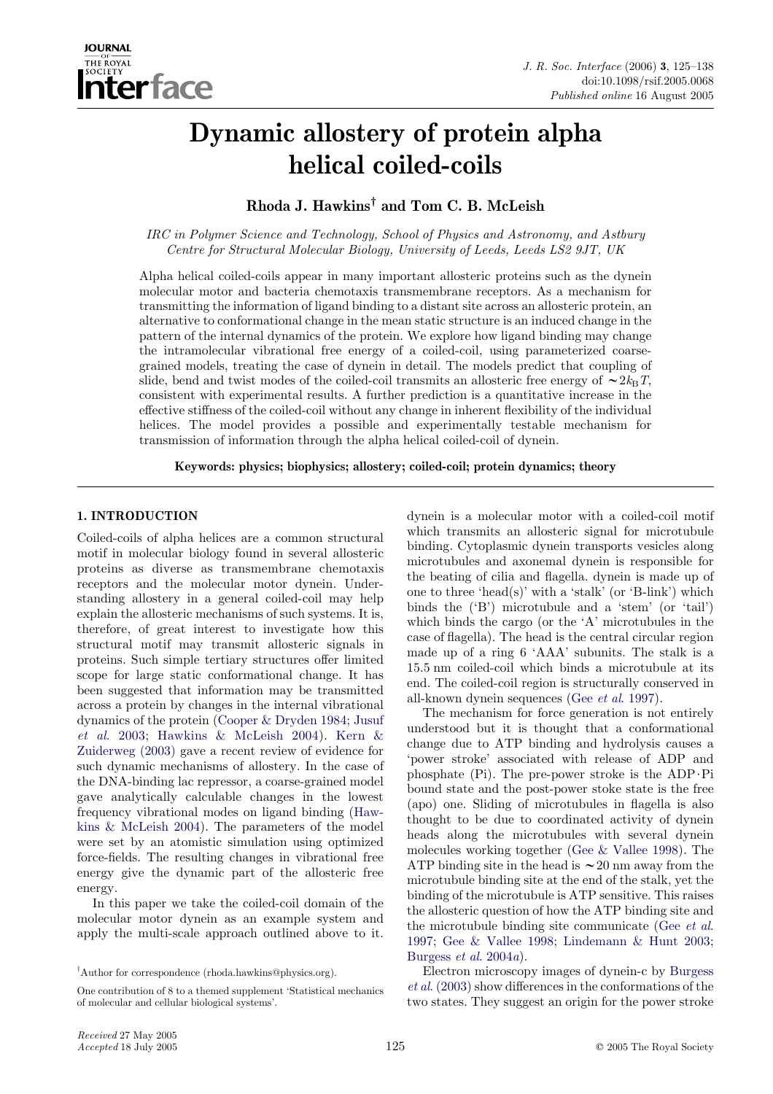

# Dynamic allostery of protein alpha helical coiled-coils

Rhoda J. Hawkins† and Tom C. B. McLeish

IRC in Polymer Science and Technology, School of Physics and Astronomy, and Astbury Centre for Structural Molecular Biology, University of Leeds, Leeds LS2 9JT, UK

Alpha helical coiled-coils appear in many important allosteric proteins such as the dynein molecular motor and bacteria chemotaxis transmembrane receptors. As a mechanism for transmitting the information of ligand binding to a distant site across an allosteric protein, an alternative to conformational change in the mean static structure is an induced change in the pattern of the internal dynamics of the protein. We explore how ligand binding may change the intramolecular vibrational free energy of a coiled-coil, using parameterized coarsegrained models, treating the case of dynein in detail. The models predict that coupling of slide, bend and twist modes of the coiled-coil transmits an allosteric free energy of  $\sim 2k_BT$ , consistent with experimental results. A further prediction is a quantitative increase in the effective stiffness of the coiled-coil without any change in inherent flexibility of the individual helices. The model provides a possible and experimentally testable mechanism for transmission of information through the alpha helical coiled-coil of dynein.

Keywords: physics; biophysics; allostery; coiled-coil; protein dynamics; theory

# 1. INTRODUCTION

Coiled-coils of alpha helices are a common structural motif in molecular biology found in several allosteric proteins as diverse as transmembrane chemotaxis receptors and the molecular motor dynein. Understanding allostery in a general coiled-coil may help explain the allosteric mechanisms of such systems. It is, therefore, of great interest to investigate how this structural motif may transmit allosteric signals in proteins. Such simple tertiary structures offer limited scope for large static conformational change. It has been suggested that information may be transmitted across a protein by changes in the internal vibrational dynamics of the protein ([Cooper & Dryden 1984;](#page-12-0) [Jusuf](#page-13-0) et al[. 2003;](#page-13-0) [Hawkins & McLeish 2004](#page-13-0)). [Kern &](#page-13-0) [Zuiderweg \(2003\)](#page-13-0) gave a recent review of evidence for such dynamic mechanisms of allostery. In the case of the DNA-binding lac repressor, a coarse-grained model gave analytically calculable changes in the lowest frequency vibrational modes on ligand binding [\(Haw](#page-13-0)[kins & McLeish 2004\)](#page-13-0). The parameters of the model were set by an atomistic simulation using optimized force-fields. The resulting changes in vibrational free energy give the dynamic part of the allosteric free energy.

In this paper we take the coiled-coil domain of the molecular motor dynein as an example system and apply the multi-scale approach outlined above to it.

One contribution of 8 to a themed supplement 'Statistical mechanics of molecular and cellular biological systems'.

dynein is a molecular motor with a coiled-coil motif which transmits an allosteric signal for microtubule binding. Cytoplasmic dynein transports vesicles along microtubules and axonemal dynein is responsible for the beating of cilia and flagella. dynein is made up of one to three 'head(s)' with a 'stalk' (or 'B-link') which binds the ('B') microtubule and a 'stem' (or 'tail') which binds the cargo (or the 'A' microtubules in the case of flagella). The head is the central circular region made up of a ring 6 'AAA' subunits. The stalk is a 15.5 nm coiled-coil which binds a microtubule at its end. The coiled-coil region is structurally conserved in all-known dynein sequences (Gee et al[. 1997\)](#page-13-0).

The mechanism for force generation is not entirely understood but it is thought that a conformational change due to ATP binding and hydrolysis causes a 'power stroke' associated with release of ADP and phosphate  $(Pi)$ . The pre-power stroke is the ADP $\cdot$ Pi bound state and the post-power stoke state is the free (apo) one. Sliding of microtubules in flagella is also thought to be due to coordinated activity of dynein heads along the microtubules with several dynein molecules working together [\(Gee & Vallee 1998](#page-13-0)). The ATP binding site in the head is  $\sim$  20 nm away from the microtubule binding site at the end of the stalk, yet the binding of the microtubule is ATP sensitive. This raises the allosteric question of how the ATP binding site and the microtubule binding site communicate (Gee [et al](#page-13-0). [1997](#page-13-0); [Gee & Vallee 1998](#page-13-0); [Lindemann & Hunt 2003;](#page-13-0) [Burgess](#page-12-0) *et al.* 2004*a*).

Electron microscopy images of dynein-c by [Burgess](#page-12-0) et al[. \(2003\)](#page-12-0) show differences in the conformations of the two states. They suggest an origin for the power stroke

<sup>†</sup> Author for correspondence (rhoda.hawkins@physics.org).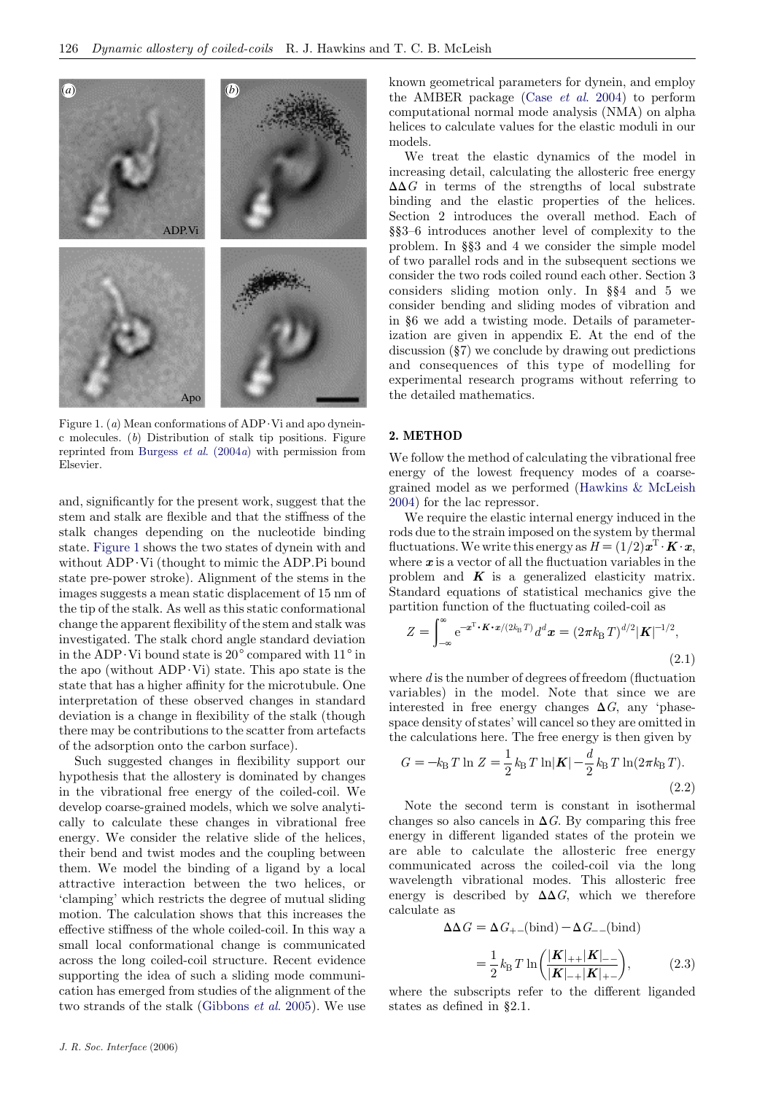<span id="page-1-0"></span>

Figure 1. (a) Mean conformations of  $ADP \cdot Vi$  and apo dyneinc molecules. (b) Distribution of stalk tip positions. Figure reprinted from [Burgess](#page-12-0)  $et \ al.$  (2004a) with permission from Elsevier.

and, significantly for the present work, suggest that the stem and stalk are flexible and that the stiffness of the stalk changes depending on the nucleotide binding state. Figure 1 shows the two states of dynein with and without  $ADP \cdot Vi$  (thought to mimic the ADP.Pi bound state pre-power stroke). Alignment of the stems in the images suggests a mean static displacement of 15 nm of the tip of the stalk. As well as this static conformational change the apparent flexibility of the stem and stalk was investigated. The stalk chord angle standard deviation in the ADP $\cdot$ Vi bound state is 20 $^{\circ}$  compared with 11 $^{\circ}$  in the apo (without  $ADP \cdot Vi$ ) state. This apo state is the state that has a higher affinity for the microtubule. One interpretation of these observed changes in standard deviation is a change in flexibility of the stalk (though there may be contributions to the scatter from artefacts of the adsorption onto the carbon surface).

Such suggested changes in flexibility support our hypothesis that the allostery is dominated by changes in the vibrational free energy of the coiled-coil. We develop coarse-grained models, which we solve analytically to calculate these changes in vibrational free energy. We consider the relative slide of the helices, their bend and twist modes and the coupling between them. We model the binding of a ligand by a local attractive interaction between the two helices, or 'clamping' which restricts the degree of mutual sliding motion. The calculation shows that this increases the effective stiffness of the whole coiled-coil. In this way a small local conformational change is communicated across the long coiled-coil structure. Recent evidence supporting the idea of such a sliding mode communication has emerged from studies of the alignment of the two strands of the stalk ([Gibbons](#page-13-0) et al. 2005). We use known geometrical parameters for dynein, and employ the AMBER package (Case et al[. 2004\)](#page-12-0) to perform computational normal mode analysis (NMA) on alpha helices to calculate values for the elastic moduli in our models.

We treat the elastic dynamics of the model in increasing detail, calculating the allosteric free energy  $\Delta\Delta G$  in terms of the strengths of local substrate binding and the elastic properties of the helices. Section 2 introduces the overall method. Each of §§3–6 introduces another level of complexity to the problem. In §§3 and 4 we consider the simple model of two parallel rods and in the subsequent sections we consider the two rods coiled round each other. Section 3 considers sliding motion only. In §§4 and 5 we consider bending and sliding modes of vibration and in §6 we add a twisting mode. Details of parameterization are given in appendix E. At the end of the discussion (§7) we conclude by drawing out predictions and consequences of this type of modelling for experimental research programs without referring to the detailed mathematics.

# 2. METHOD

We follow the method of calculating the vibrational free energy of the lowest frequency modes of a coarsegrained model as we performed ([Hawkins & McLeish](#page-13-0) [2004](#page-13-0)) for the lac repressor.

We require the elastic internal energy induced in the rods due to the strain imposed on the system by thermal fluctuations. We write this energy as  $H=(1/2)\boldsymbol{x}^T \boldsymbol{\cdot} \boldsymbol{K} \boldsymbol{\cdot} \boldsymbol{x}$ , where  $x$  is a vector of all the fluctuation variables in the problem and  $K$  is a generalized elasticity matrix. Standard equations of statistical mechanics give the partition function of the fluctuating coiled-coil as

$$
Z = \int_{-\infty}^{\infty} e^{-\boldsymbol{x}^{\mathrm{T}} \cdot \boldsymbol{K} \cdot \boldsymbol{x} / (2k_{\mathrm{B}} T)} d^d \boldsymbol{x} = (2\pi k_{\mathrm{B}} T)^{d/2} |\boldsymbol{K}|^{-1/2},
$$
\n(2.1)

where  $d$  is the number of degrees of freedom (fluctuation variables) in the model. Note that since we are interested in free energy changes  $\Delta G$ , any 'phasespace density of states' will cancel so they are omitted in the calculations here. The free energy is then given by

$$
G = -k_{\rm B} T \ln Z = \frac{1}{2} k_{\rm B} T \ln |\mathbf{K}| - \frac{d}{2} k_{\rm B} T \ln(2\pi k_{\rm B} T). \tag{2.2}
$$

Note the second term is constant in isothermal changes so also cancels in  $\Delta G$ . By comparing this free energy in different liganded states of the protein we are able to calculate the allosteric free energy communicated across the coiled-coil via the long wavelength vibrational modes. This allosteric free energy is described by  $\Delta\Delta G$ , which we therefore calculate as

$$
\Delta\Delta G = \Delta G_{+-}(\text{bind}) - \Delta G_{--}(\text{bind})
$$

$$
= \frac{1}{2} k_{\rm B} T \ln \left( \frac{|\mathbf{K}|_{++} |\mathbf{K}|_{--}}{|\mathbf{K}|_{-+} |\mathbf{K}|_{+-}} \right), \tag{2.3}
$$

where the subscripts refer to the different liganded states as defined in §2.1.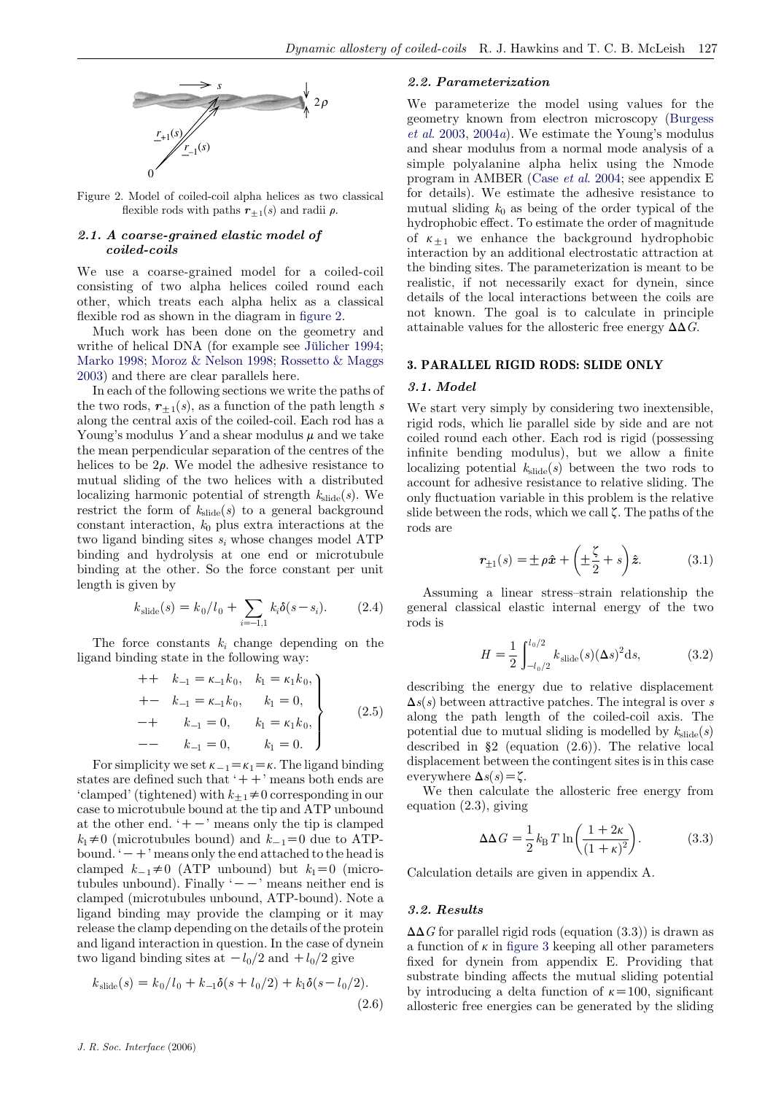

Figure 2. Model of coiled-coil alpha helices as two classical flexible rods with paths  $r_{\pm 1}(s)$  and radii  $\rho$ .

# 2.1. A coarse-grained elastic model of coiled-coils

We use a coarse-grained model for a coiled-coil consisting of two alpha helices coiled round each other, which treats each alpha helix as a classical flexible rod as shown in the diagram in figure 2.

Much work has been done on the geometry and writhe of helical DNA (for example see Jülicher 1994; [Marko 1998;](#page-13-0) [Moroz & Nelson 1998](#page-13-0); [Rossetto & Maggs](#page-13-0) [2003](#page-13-0)) and there are clear parallels here.

In each of the following sections we write the paths of the two rods,  $r_{+1}(s)$ , as a function of the path length s along the central axis of the coiled-coil. Each rod has a Young's modulus Y and a shear modulus  $\mu$  and we take the mean perpendicular separation of the centres of the helices to be  $2\rho$ . We model the adhesive resistance to mutual sliding of the two helices with a distributed localizing harmonic potential of strength  $k_{\text{slide}}(s)$ . We restrict the form of  $k_{\text{slide}}(s)$  to a general background constant interaction,  $k_0$  plus extra interactions at the two ligand binding sites  $s_i$  whose changes model ATP binding and hydrolysis at one end or microtubule binding at the other. So the force constant per unit length is given by

$$
k_{\text{slide}}(s) = k_0 / l_0 + \sum_{i=-1,1} k_i \delta(s - s_i). \tag{2.4}
$$

The force constants  $k_i$  change depending on the ligand binding state in the following way:

$$
\begin{aligned}\n++ k_{-1} &= \kappa_{-1} k_0, \quad k_1 = \kappa_1 k_0, \\
+- k_{-1} &= \kappa_{-1} k_0, \quad k_1 = 0, \\
-+ k_{-1} &= 0, \quad k_1 = \kappa_1 k_0, \\
-- k_{-1} &= 0, \quad k_1 = 0.\n\end{aligned}\n\tag{2.5}
$$

For simplicity we set  $\kappa_{-1} = \kappa_1 = \kappa$ . The ligand binding states are defined such that  $'++'$  means both ends are 'clamped' (tightened) with  $k_{+1} \neq 0$  corresponding in our case to microtubule bound at the tip and ATP unbound at the other end.  $+$  -  $\prime$  means only the tip is clamped  $k_1\neq0$  (microtubules bound) and  $k_{-1}=0$  due to ATPbound.  $\dot{\phantom{0}}$  +  $\dot{\phantom{0}}$  means only the end attached to the head is clamped  $k_{-1} \neq 0$  (ATP unbound) but  $k_1=0$  (microtubules unbound). Finally  $\prime$  -  $-$  means neither end is clamped (microtubules unbound, ATP-bound). Note a ligand binding may provide the clamping or it may release the clamp depending on the details of the protein and ligand interaction in question. In the case of dynein two ligand binding sites at  $-l_0/2$  and  $+l_0/2$  give

$$
k_{\text{slide}}(s) = k_0/l_0 + k_{-1}\delta(s + l_0/2) + k_1\delta(s - l_0/2). \tag{2.6}
$$

# 2.2. Parameterization

We parameterize the model using values for the geometry known from electron microscopy ([Burgess](#page-12-0) et al[. 2003](#page-12-0), [2004](#page-12-0)a). We estimate the Young's modulus and shear modulus from a normal mode analysis of a simple polyalanine alpha helix using the Nmode program in AMBER (Case et al[. 2004;](#page-12-0) see appendix E for details). We estimate the adhesive resistance to mutual sliding  $k_0$  as being of the order typical of the hydrophobic effect. To estimate the order of magnitude of  $\kappa_{+1}$  we enhance the background hydrophobic interaction by an additional electrostatic attraction at the binding sites. The parameterization is meant to be realistic, if not necessarily exact for dynein, since details of the local interactions between the coils are not known. The goal is to calculate in principle attainable values for the allosteric free energy  $\Delta \Delta G$ .

# 3. PARALLEL RIGID RODS: SLIDE ONLY

# 3.1. Model

We start very simply by considering two inextensible, rigid rods, which lie parallel side by side and are not coiled round each other. Each rod is rigid (possessing infinite bending modulus), but we allow a finite localizing potential  $k_{\text{slide}}(s)$  between the two rods to account for adhesive resistance to relative sliding. The only fluctuation variable in this problem is the relative slide between the rods, which we call  $\zeta$ . The paths of the rods are

$$
\mathbf{r}_{\pm 1}(s) = \pm \rho \hat{\mathbf{x}} + \left(\pm \frac{\zeta}{2} + s\right) \hat{\mathbf{z}}.\tag{3.1}
$$

Assuming a linear stress–strain relationship the general classical elastic internal energy of the two rods is

$$
H = \frac{1}{2} \int_{-l_0/2}^{l_0/2} k_{\text{slide}}(s) (\Delta s)^2 \, \mathrm{d}s,\tag{3.2}
$$

describing the energy due to relative displacement  $\Delta s(s)$  between attractive patches. The integral is over s along the path length of the coiled-coil axis. The potential due to mutual sliding is modelled by  $k_{\text{slide}}(s)$ described in  $\S2$  (equation  $(2.6)$ ). The relative local displacement between the contingent sites is in this case everywhere  $\Delta s(s) = \zeta$ .

We then calculate the allosteric free energy from equation (2.3), giving

$$
\Delta \Delta G = \frac{1}{2} k_{\text{B}} T \ln \left( \frac{1 + 2\kappa}{\left( 1 + \kappa \right)^2} \right). \tag{3.3}
$$

Calculation details are given in appendix A.

#### 3.2. Results

 $\Delta\Delta G$  for parallel rigid rods (equation (3.3)) is drawn as a function of  $\kappa$  in [figure 3](#page-3-0) keeping all other parameters fixed for dynein from appendix E. Providing that substrate binding affects the mutual sliding potential by introducing a delta function of  $\kappa=100$ , significant allosteric free energies can be generated by the sliding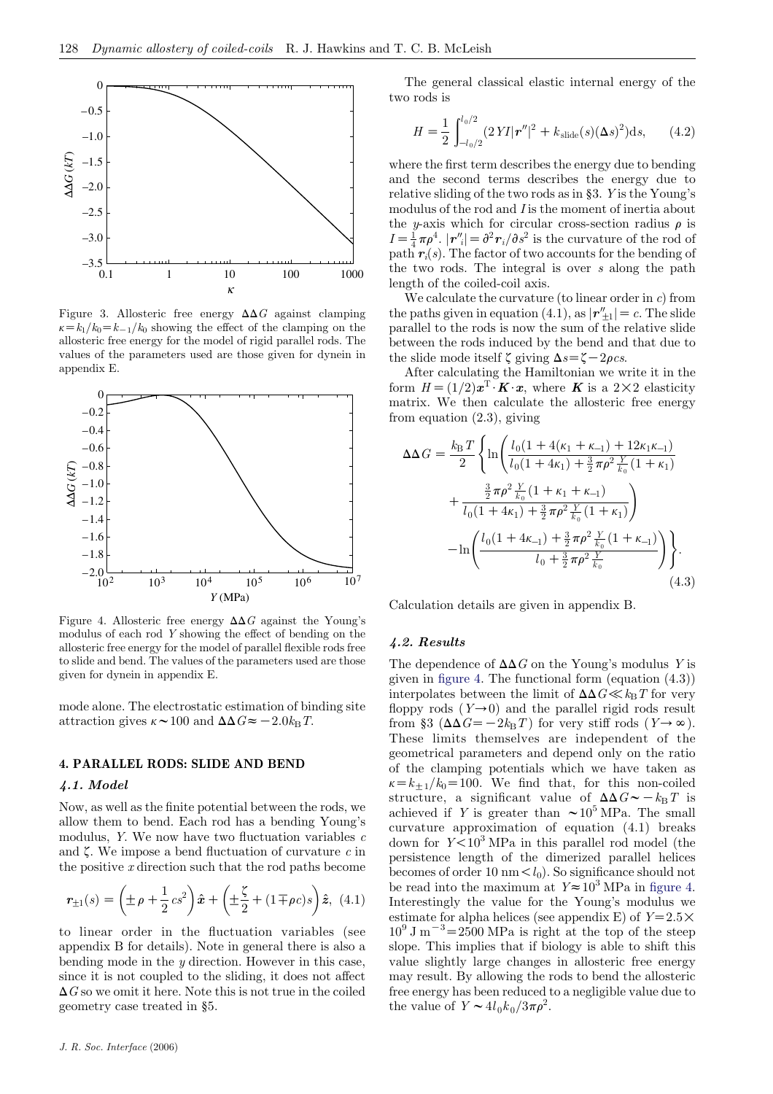<span id="page-3-0"></span>

Figure 3. Allosteric free energy  $\Delta\Delta G$  against clamping  $k=k_1/k_0=k_{-1}/k_0$  showing the effect of the clamping on the allosteric free energy for the model of rigid parallel rods. The values of the parameters used are those given for dynein in appendix E.



Figure 4. Allosteric free energy  $\Delta \Delta G$  against the Young's modulus of each rod Y showing the effect of bending on the allosteric free energy for the model of parallel flexible rods free to slide and bend. The values of the parameters used are those given for dynein in appendix E.

mode alone. The electrostatic estimation of binding site attraction gives  $\kappa \sim 100$  and  $\Delta \Delta G \approx -2.0 k_{\rm B} T$ .

# 4. PARALLEL RODS: SLIDE AND BEND

#### 4.1. Model

Now, as well as the finite potential between the rods, we allow them to bend. Each rod has a bending Young's modulus, Y. We now have two fluctuation variables  $c$ and  $\zeta$ . We impose a bend fluctuation of curvature c in the positive x direction such that the rod paths become

$$
\mathbf{r}_{\pm 1}(s) = \left(\pm \rho + \frac{1}{2} c s^2\right) \hat{\mathbf{x}} + \left(\pm \frac{\zeta}{2} + (1 \mp \rho c)s\right) \hat{\mathbf{z}}, \tag{4.1}
$$

to linear order in the fluctuation variables (see appendix B for details). Note in general there is also a bending mode in the  $y$  direction. However in this case, since it is not coupled to the sliding, it does not affect  $\Delta G$  so we omit it here. Note this is not true in the coiled geometry case treated in §5.

The general classical elastic internal energy of the two rods is

$$
H = \frac{1}{2} \int_{-l_0/2}^{l_0/2} (2 Y I |r''|^2 + k_{\text{slide}}(s) (\Delta s)^2) ds, \qquad (4.2)
$$

where the first term describes the energy due to bending and the second terms describes the energy due to relative sliding of the two rods as in §3. Y is the Young's modulus of the rod and I is the moment of inertia about the y-axis which for circular cross-section radius  $\rho$  is  $I = \frac{1}{4} \pi \rho^4$ .  $|\mathbf{r}''_i| = \frac{\partial^2 \mathbf{r}_i}{\partial s^2}$  is the curvature of the rod of path  $r_i(s)$ . The factor of two accounts for the bending of the two rods. The integral is over s along the path length of the coiled-coil axis.

We calculate the curvature (to linear order in  $c$ ) from the paths given in equation (4.1), as  $|\mathbf{r}''_{\pm 1}| = c$ . The slide parallel to the rods is now the sum of the relative slide between the rods induced by the bend and that due to the slide mode itself  $\zeta$  giving  $\Delta s = \zeta - 2\rho cs$ .

After calculating the Hamiltonian we write it in the form  $H = (1/2)\boldsymbol{x}^T \boldsymbol{\cdot} \boldsymbol{K} \boldsymbol{\cdot} \boldsymbol{x}$ , where **K** is a 2×2 elasticity matrix. We then calculate the allosteric free energy from equation (2.3), giving

$$
\Delta\Delta G = \frac{k_{\rm B}T}{2} \left\{ \ln \left( \frac{l_0(1 + 4(\kappa_1 + \kappa_{-1}) + 12\kappa_1\kappa_{-1})}{l_0(1 + 4\kappa_1) + \frac{3}{2}\pi\rho^2 \frac{Y}{k_0}(1 + \kappa_1)} + \frac{\frac{3}{2}\pi\rho^2 \frac{Y}{k_0}(1 + \kappa_1 + \kappa_{-1})}{l_0(1 + 4\kappa_1) + \frac{3}{2}\pi\rho^2 \frac{Y}{k_0}(1 + \kappa_1)} \right) - \ln \left( \frac{l_0(1 + 4\kappa_{-1}) + \frac{3}{2}\pi\rho^2 \frac{Y}{k_0}(1 + \kappa_{-1})}{l_0 + \frac{3}{2}\pi\rho^2 \frac{Y}{k_0}} \right) \right\}.
$$
\n(4.3)

Calculation details are given in appendix B.

#### 4.2. Results

The dependence of  $\Delta\Delta G$  on the Young's modulus Y is given in figure 4. The functional form (equation (4.3)) interpolates between the limit of  $\Delta\Delta G \ll k_B T$  for very floppy rods  $(Y\rightarrow 0)$  and the parallel rigid rods result from §3 ( $\Delta \Delta G = -2k_{\rm B}T$ ) for very stiff rods (Y $\rightarrow \infty$ ). These limits themselves are independent of the geometrical parameters and depend only on the ratio of the clamping potentials which we have taken as  $\kappa = k_{+1}/k_0 = 100$ . We find that, for this non-coiled structure, a significant value of  $\Delta\Delta G\sim-k_{\rm B}T$  is achieved if Y is greater than  $\sim 10^5$  MPa. The small curvature approximation of equation (4.1) breaks down for  $Y < 10<sup>3</sup>$  MPa in this parallel rod model (the persistence length of the dimerized parallel helices becomes of order 10 nm  $\lt l_0$ ). So significance should not be read into the maximum at  $Y \approx 10^3$  MPa in figure 4. Interestingly the value for the Young's modulus we estimate for alpha helices (see appendix E) of  $Y=2.5\times$  $10^9$  J m<sup>-3</sup>=2500 MPa is right at the top of the steep slope. This implies that if biology is able to shift this value slightly large changes in allosteric free energy may result. By allowing the rods to bend the allosteric free energy has been reduced to a negligible value due to the value of  $Y \sim 4l_0 k_0 / 3\pi \rho^2$ .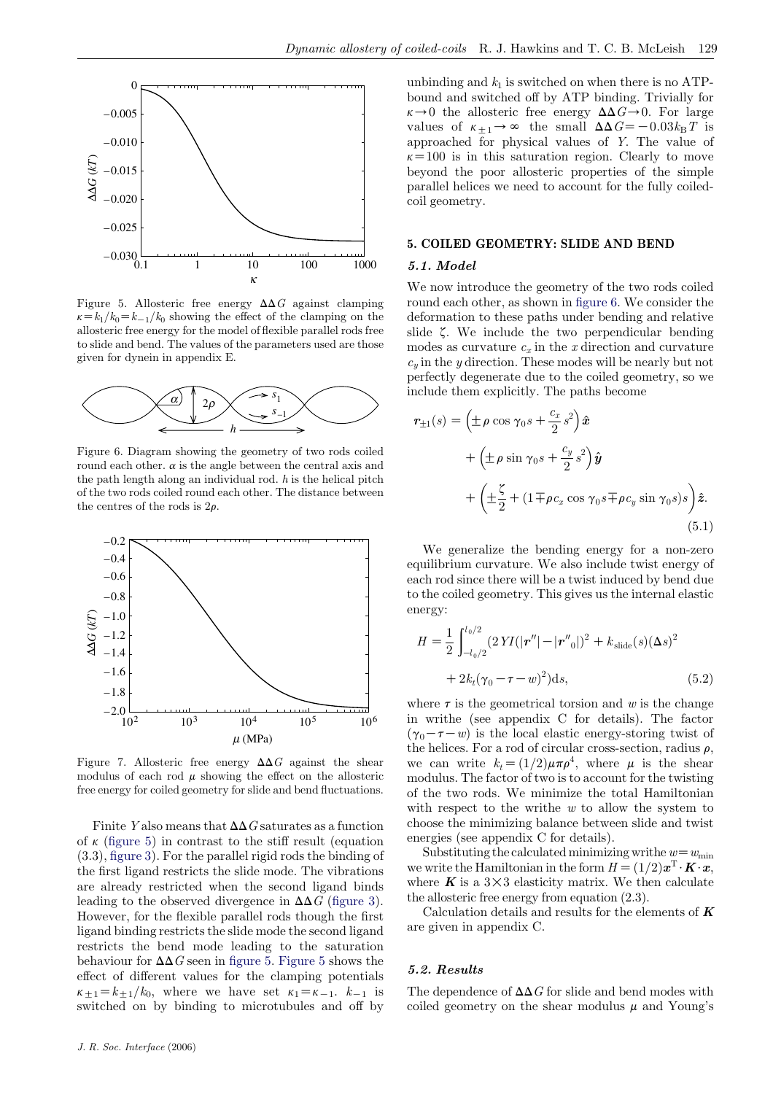<span id="page-4-0"></span>

Figure 5. Allosteric free energy  $\Delta \Delta G$  against clamping  $k=k_1/k_0=k_{-1}/k_0$  showing the effect of the clamping on the allosteric free energy for the model of flexible parallel rods free to slide and bend. The values of the parameters used are those given for dynein in appendix E.



Figure 6. Diagram showing the geometry of two rods coiled round each other.  $\alpha$  is the angle between the central axis and the path length along an individual rod.  $h$  is the helical pitch of the two rods coiled round each other. The distance between the centres of the rods is  $2\rho$ .



Figure 7. Allosteric free energy  $\Delta \Delta G$  against the shear modulus of each rod  $\mu$  showing the effect on the allosteric free energy for coiled geometry for slide and bend fluctuations.

Finite Y also means that  $\Delta\Delta G$  saturates as a function of  $\kappa$  (figure 5) in contrast to the stiff result (equation (3.3), [figure 3](#page-3-0)). For the parallel rigid rods the binding of the first ligand restricts the slide mode. The vibrations are already restricted when the second ligand binds leading to the observed divergence in  $\Delta\Delta G$  ([figure 3\)](#page-3-0). However, for the flexible parallel rods though the first ligand binding restricts the slide mode the second ligand restricts the bend mode leading to the saturation behaviour for  $\Delta\Delta G$  seen in figure 5. Figure 5 shows the effect of different values for the clamping potentials  $\kappa_{+1} = k_{+1}/k_0$ , where we have set  $\kappa_1 = \kappa_{-1}$ .  $k_{-1}$  is switched on by binding to microtubules and off by

#### 5. COILED GEOMETRY: SLIDE AND BEND

#### 5.1. Model

We now introduce the geometry of the two rods coiled round each other, as shown in figure 6. We consider the deformation to these paths under bending and relative slide  $\zeta$ . We include the two perpendicular bending modes as curvature  $c_x$  in the x direction and curvature  $c_y$  in the y direction. These modes will be nearly but not perfectly degenerate due to the coiled geometry, so we include them explicitly. The paths become

$$
\mathbf{r}_{\pm 1}(s) = \left(\pm \rho \cos \gamma_0 s + \frac{c_x}{2} s^2\right) \hat{\mathbf{x}} \n+ \left(\pm \rho \sin \gamma_0 s + \frac{c_y}{2} s^2\right) \hat{\mathbf{y}} \n+ \left(\pm \frac{\zeta}{2} + (1 \mp \rho c_x \cos \gamma_0 s \mp \rho c_y \sin \gamma_0 s) s\right) \hat{\mathbf{z}}.
$$
\n(5.1)

We generalize the bending energy for a non-zero equilibrium curvature. We also include twist energy of each rod since there will be a twist induced by bend due to the coiled geometry. This gives us the internal elastic energy:

$$
H = \frac{1}{2} \int_{-l_0/2}^{l_0/2} (2 Y I(|\mathbf{r}''| - |\mathbf{r}''_0|)^2 + k_{\text{slide}}(s) (\Delta s)^2
$$
  
+  $2k_t (\gamma_0 - \tau - w)^2) \mathrm{d}s,$  (5.2)

where  $\tau$  is the geometrical torsion and w is the change in writhe (see appendix C for details). The factor  $(\gamma_0 - \tau - w)$  is the local elastic energy-storing twist of the helices. For a rod of circular cross-section, radius  $\rho$ , we can write  $k_t=(1/2)\mu\pi\rho^4$ , where  $\mu$  is the shear modulus. The factor of two is to account for the twisting of the two rods. We minimize the total Hamiltonian with respect to the writhe  $w$  to allow the system to choose the minimizing balance between slide and twist energies (see appendix C for details).

Substituting the calculated minimizing writhe  $w=w_{\text{min}}$ we write the Hamiltonian in the form  $H = (1/2)x^{T} \cdot \mathbf{K} \cdot \mathbf{x}$ , where  $\boldsymbol{K}$  is a 3 $\times$ 3 elasticity matrix. We then calculate the allosteric free energy from equation (2.3).

Calculation details and results for the elements of  $K$ are given in appendix C.

#### 5.2. Results

The dependence of  $\Delta\Delta G$  for slide and bend modes with coiled geometry on the shear modulus  $\mu$  and Young's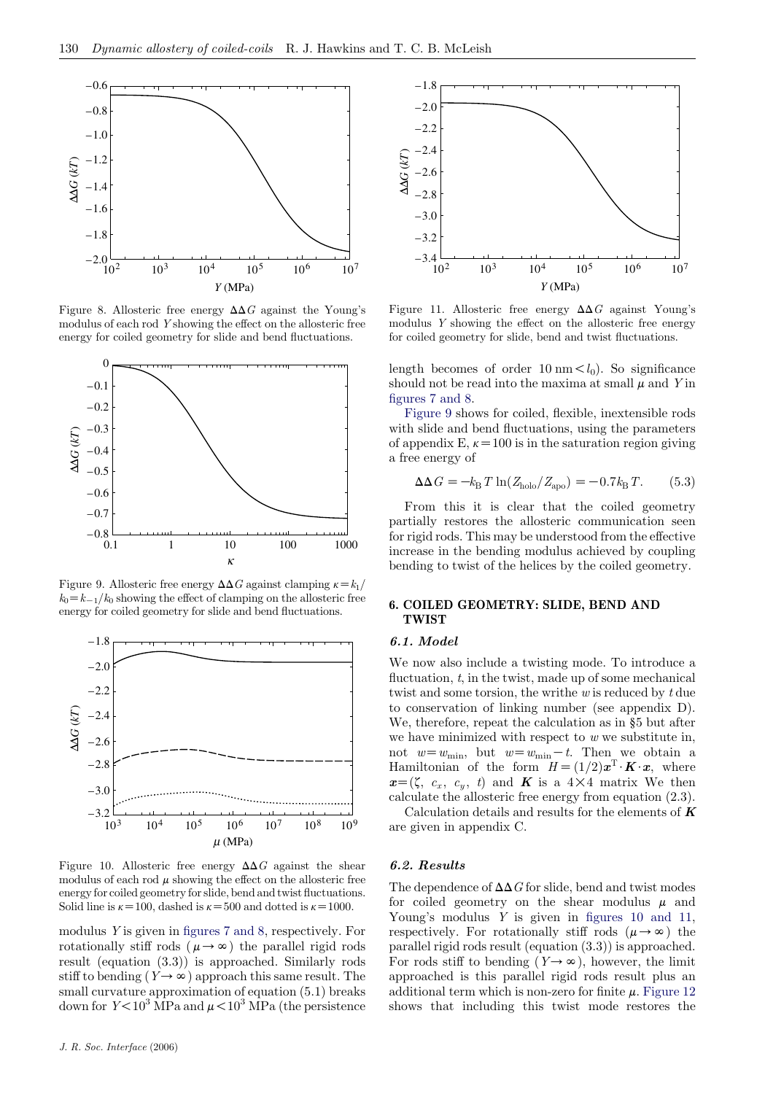<span id="page-5-0"></span>

Figure 8. Allosteric free energy  $\Delta\Delta G$  against the Young's modulus of each rod Y showing the effect on the allosteric free energy for coiled geometry for slide and bend fluctuations.



Figure 9. Allosteric free energy  $\Delta \Delta G$  against clamping  $\kappa = k_1/2$  $k_0=k_{-1}/k_0$  showing the effect of clamping on the allosteric free energy for coiled geometry for slide and bend fluctuations.



Figure 10. Allosteric free energy  $\Delta\Delta G$  against the shear modulus of each rod  $\mu$  showing the effect on the allosteric free energy for coiled geometry for slide, bend and twist fluctuations. Solid line is  $\kappa$ =100, dashed is  $\kappa$ =500 and dotted is  $\kappa$ =1000.

modulus Y is given in [figures 7 and 8,](#page-4-0) respectively. For rotationally stiff rods ( $\mu \rightarrow \infty$ ) the parallel rigid rods result (equation (3.3)) is approached. Similarly rods stiff to bending  $(Y \rightarrow \infty)$  approach this same result. The small curvature approximation of equation (5.1) breaks down for  $Y < 10^3$  MPa and  $\mu < 10^3$  MPa (the persistence



Figure 11. Allosteric free energy  $\Delta \Delta G$  against Young's modulus Y showing the effect on the allosteric free energy for coiled geometry for slide, bend and twist fluctuations.

length becomes of order 10 nm  $\lt l_0$ ). So significance should not be read into the maxima at small  $\mu$  and Y in [figures 7 and 8.](#page-4-0)

Figure 9 shows for coiled, flexible, inextensible rods with slide and bend fluctuations, using the parameters of appendix E,  $\kappa$  = 100 is in the saturation region giving a free energy of

$$
\Delta\Delta G = -k_{\rm B}T\ln(Z_{\rm halo}/Z_{\rm apo}) = -0.7k_{\rm B}T.
$$
 (5.3)

From this it is clear that the coiled geometry partially restores the allosteric communication seen for rigid rods. This may be understood from the effective increase in the bending modulus achieved by coupling bending to twist of the helices by the coiled geometry.

# 6. COILED GEOMETRY: SLIDE, BEND AND TWIST

# 6.1. Model

We now also include a twisting mode. To introduce a fluctuation,  $t$ , in the twist, made up of some mechanical twist and some torsion, the writhe w is reduced by t due to conservation of linking number (see appendix D). We, therefore, repeat the calculation as in §5 but after we have minimized with respect to  $w$  we substitute in, not  $w=w_{\min}$ , but  $w=w_{\min}-t$ . Then we obtain a Hamiltonian of the form  $H=(1/2)\boldsymbol{x}^{\mathrm{T}}\cdot\boldsymbol{K}\cdot\boldsymbol{x}$ , where  $x=(\zeta, c_x, c_y, t)$  and **K** is a  $4\times 4$  matrix We then calculate the allosteric free energy from equation (2.3).

Calculation details and results for the elements of  $K$ are given in appendix C.

#### 6.2. Results

The dependence of  $\Delta\Delta G$  for slide, bend and twist modes for coiled geometry on the shear modulus  $\mu$  and Young's modulus  $\dot{Y}$  is given in figures 10 and 11, respectively. For rotationally stiff rods  $(\mu \rightarrow \infty)$  the parallel rigid rods result (equation (3.3)) is approached. For rods stiff to bending  $(Y \rightarrow \infty)$ , however, the limit approached is this parallel rigid rods result plus an additional term which is non-zero for finite  $\mu$ . [Figure 12](#page-6-0) shows that including this twist mode restores the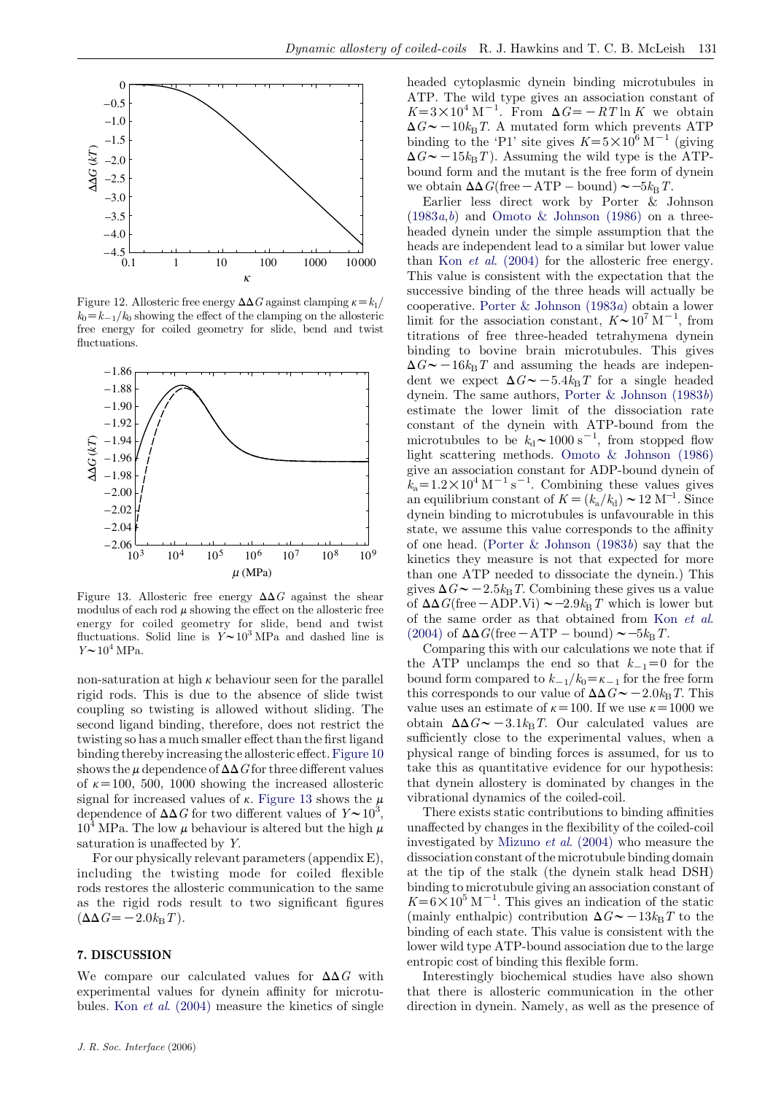<span id="page-6-0"></span>

Figure 12. Allosteric free energy  $\Delta \Delta G$  against clamping  $\kappa = k_1/2$  $k_0=k_{-1}/k_0$  showing the effect of the clamping on the allosteric free energy for coiled geometry for slide, bend and twist fluctuations.



Figure 13. Allosteric free energy  $\Delta \Delta G$  against the shear modulus of each rod  $\mu$  showing the effect on the allosteric free energy for coiled geometry for slide, bend and twist fluctuations. Solid line is  $Y \sim 10^3$  MPa and dashed line is  $Y \sim 10^4$  MPa.

non-saturation at high  $\kappa$  behaviour seen for the parallel rigid rods. This is due to the absence of slide twist coupling so twisting is allowed without sliding. The second ligand binding, therefore, does not restrict the twisting so has a much smaller effect than the first ligand binding thereby increasing the allosteric effect.[Figure 10](#page-5-0) shows the  $\mu$  dependence of  $\Delta\Delta G$  for three different values of  $\kappa$ =100, 500, 1000 showing the increased allosteric signal for increased values of  $\kappa$ . Figure 13 shows the  $\mu$ dependence of  $\Delta\Delta G$  for two different values of  $Y \sim 10^3$ ,  $10^4$  MPa. The low  $\mu$  behaviour is altered but the high  $\mu$ saturation is unaffected by Y.

For our physically relevant parameters (appendix E), including the twisting mode for coiled flexible rods restores the allosteric communication to the same as the rigid rods result to two significant figures  $(\Delta \Delta G = -2.0k_{\rm B}T).$ 

# 7. DISCUSSION

We compare our calculated values for  $\Delta\Delta G$  with experimental values for dynein affinity for microtubules. Kon et al[. \(2004\)](#page-13-0) measure the kinetics of single headed cytoplasmic dynein binding microtubules in ATP. The wild type gives an association constant of  $K=3\times10^4$  M<sup>-1</sup>. From  $\Delta G=-RT \ln K$  we obtain  $\Delta G \sim -10k_{\rm B}T$ . A mutated form which prevents ATP binding to the 'P1' site gives  $K=5\times10^6$  M<sup>-1</sup> (giving  $\Delta G \sim -15k_{\text{B}}T$ ). Assuming the wild type is the ATPbound form and the mutant is the free form of dynein we obtain  $\Delta\Delta G$ (free  $-\text{ATP}$  – bound)  $\sim$  –5 $k_{\text{B}}T$ .

Earlier less direct work by Porter & Johnson  $(1983a,b)$  $(1983a,b)$  $(1983a,b)$  $(1983a,b)$  and [Omoto & Johnson \(1986\)](#page-13-0) on a threeheaded dynein under the simple assumption that the heads are independent lead to a similar but lower value than Kon et al[. \(2004\)](#page-13-0) for the allosteric free energy. This value is consistent with the expectation that the successive binding of the three heads will actually be cooperative. [Porter & Johnson \(1983](#page-13-0)a) obtain a lower limit for the association constant,  $K \sim 10^7 \text{ M}^{-1}$ , from titrations of free three-headed tetrahymena dynein binding to bovine brain microtubules. This gives  $\Delta G \sim -16k_{\text{B}}T$  and assuming the heads are independent we expect  $\Delta G \sim -5.4k_{\text{B}}T$  for a single headed dynein. The same authors, [Porter & Johnson \(1983](#page-13-0)b) estimate the lower limit of the dissociation rate constant of the dynein with ATP-bound from the microtubules to be  $k_d \sim 1000 \text{ s}^{-1}$ , from stopped flow light scattering methods. [Omoto & Johnson \(1986\)](#page-13-0) give an association constant for ADP-bound dynein of  $\tilde{k}_a = 1.2 \times 10^4 \text{ M}^{-1} \text{ s}^{-1}$ . Combining these values gives an equilibrium constant of  $K = (k_a/k_d) \sim 12 \text{ M}^{-1}$ . Since dynein binding to microtubules is unfavourable in this state, we assume this value corresponds to the affinity of one head. [\(Porter & Johnson \(1983](#page-13-0)b) say that the kinetics they measure is not that expected for more than one ATP needed to dissociate the dynein.) This gives  $\Delta G \sim -2.5k_{\text{B}}T$ . Combining these gives us a value of  $\Delta\Delta G$ (free - ADP.Vi)  $\sim$  -2.9k<sub>B</sub>T which is lower but of the same order as that obtained from Kon [et al](#page-13-0). [\(2004\)](#page-13-0) of  $\Delta\Delta G$ (free  $-\text{ATP}$  – bound)  $\sim$  –5 $k_{\text{B}}T$ .

Comparing this with our calculations we note that if the ATP unclamps the end so that  $k_{-1}=0$  for the bound form compared to  $k_{-1}/k_0 = \kappa_{-1}$  for the free form this corresponds to our value of  $\Delta\Delta G \sim -2.0k_{\text{B}}T$ . This value uses an estimate of  $\kappa=100$ . If we use  $\kappa=1000$  we obtain  $\Delta \Delta G \sim -3.1 k_{\rm B}T$ . Our calculated values are sufficiently close to the experimental values, when a physical range of binding forces is assumed, for us to take this as quantitative evidence for our hypothesis: that dynein allostery is dominated by changes in the vibrational dynamics of the coiled-coil.

There exists static contributions to binding affinities unaffected by changes in the flexibility of the coiled-coil investigated by Mizuno et al[. \(2004\)](#page-13-0) who measure the dissociation constant of the microtubule binding domain at the tip of the stalk (the dynein stalk head DSH) binding to microtubule giving an association constant of  $K=6\times10^5$  M<sup>-1</sup>. This gives an indication of the static (mainly enthalpic) contribution  $\Delta G \sim -13k_{\text{B}}T$  to the binding of each state. This value is consistent with the lower wild type ATP-bound association due to the large entropic cost of binding this flexible form.

Interestingly biochemical studies have also shown that there is allosteric communication in the other direction in dynein. Namely, as well as the presence of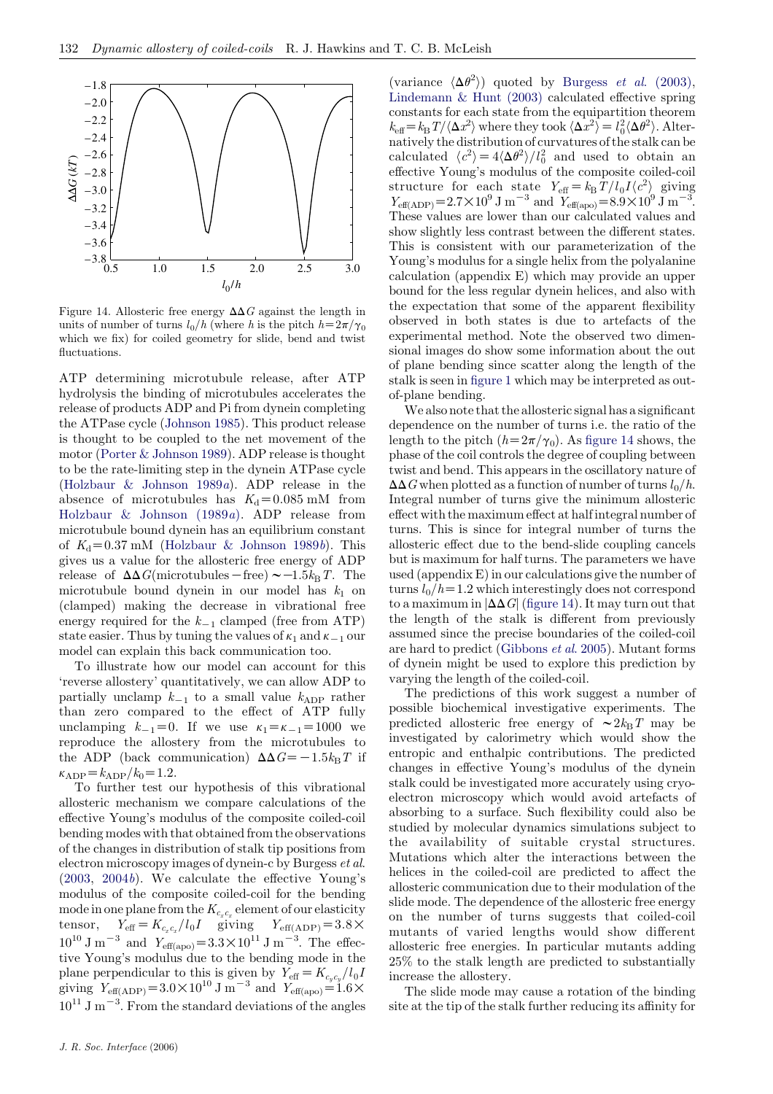

Figure 14. Allosteric free energy  $\Delta\Delta G$  against the length in units of number of turns  $l_0/h$  (where h is the pitch  $h=2\pi/\gamma_0$ which we fix) for coiled geometry for slide, bend and twist fluctuations.

ATP determining microtubule release, after ATP hydrolysis the binding of microtubules accelerates the release of products ADP and Pi from dynein completing the ATPase cycle ([Johnson 1985\)](#page-13-0). This product release is thought to be coupled to the net movement of the motor [\(Porter & Johnson 1989\)](#page-13-0). ADP release is thought to be the rate-limiting step in the dynein ATPase cycle [\(Holzbaur & Johnson 1989](#page-13-0)a). ADP release in the absence of microtubules has  $K_d = 0.085$  mM from [Holzbaur & Johnson \(1989](#page-13-0)a). ADP release from microtubule bound dynein has an equilibrium constant of  $K_d$ =0.37 mM [\(Holzbaur & Johnson 1989](#page-13-0)b). This gives us a value for the allosteric free energy of ADP release of  $\Delta\Delta G$ (microtubules – free)  $\sim -1.5k_BT$ . The microtubule bound dynein in our model has  $k_1$  on (clamped) making the decrease in vibrational free energy required for the  $k_{-1}$  clamped (free from ATP) state easier. Thus by tuning the values of  $\kappa_1$  and  $\kappa_{-1}$  our model can explain this back communication too.

To illustrate how our model can account for this 'reverse allostery' quantitatively, we can allow ADP to partially unclamp  $k_{-1}$  to a small value  $k_{ADP}$  rather than zero compared to the effect of ATP fully unclamping  $k_{-1}=0$ . If we use  $\kappa_1=\kappa_{-1}=1000$  we reproduce the allostery from the microtubules to the ADP (back communication)  $\Delta\Delta G = -1.5k_\text{B}T$  if  $\kappa_{\text{ADP}}=k_{\text{ADP}}/k_0=1.2.$ 

To further test our hypothesis of this vibrational allosteric mechanism we compare calculations of the effective Young's modulus of the composite coiled-coil bending modes with that obtained from the observations of the changes in distribution of stalk tip positions from electron microscopy images of dynein-c by Burgess et al.  $(2003, 2004b)$  $(2003, 2004b)$  $(2003, 2004b)$  $(2003, 2004b)$ . We calculate the effective Young's modulus of the composite coiled-coil for the bending mode in one plane from the  $K_{c_x c_x}$  element of our elasticity tensor,  $Y_{\text{eff}} = K_{c_x c_x} / l_0 I$  giving  $Y_{\text{eff(ADP)}} = 3.8 \times$  $10^{10}$  J m<sup>-3</sup> and  $Y_{\text{eff}(apo)} = 3.3 \times 10^{11}$  J m<sup>-3</sup>. The effective Young's modulus due to the bending mode in the plane perpendicular to this is given by  $\tilde{Y}_{\text{eff}}=K_{c_y c_y}/l_0I$ giving  $Y_{\text{eff(ADP)}} = 3.0 \times 10^{10} \text{ J m}^{-3}$  and  $Y_{\text{eff(apo)}} = 1.6 \times$  $10^{11}$  J m<sup>-3</sup>. From the standard deviations of the angles

(variance  $\langle \Delta \theta^2 \rangle$ ) quoted by Burgess *et al.* (2003), [Lindemann & Hunt \(2003\)](#page-13-0) calculated effective spring constants for each state from the equipartition theorem  $k_{\text{eff}} = k_{\text{B}} T / \langle \Delta x^2 \rangle$  where they took  $\langle \Delta x^2 \rangle = l_0^2 \langle \Delta \theta^2 \rangle$ . Alternatively the distribution of curvatures of the stalk can be calculated  $\langle c^2 \rangle = 4 \langle \Delta \theta^2 \rangle / l_0^2$  and used to obtain an effective Young's modulus of the composite coiled-coil structure for each state  $Y_{\text{eff}} = k_{\text{B}} T / l_0 I \langle c^2 \rangle$  giving  $Y_{\text{eff(ADP)}} = 2.7 \times 10^9 \text{ J m}^{-3} \text{ and } Y_{\text{eff(apo)}} = 8.9 \times 10^9 \text{ J m}^{-3}.$ These values are lower than our calculated values and show slightly less contrast between the different states. This is consistent with our parameterization of the Young's modulus for a single helix from the polyalanine calculation (appendix E) which may provide an upper bound for the less regular dynein helices, and also with the expectation that some of the apparent flexibility observed in both states is due to artefacts of the experimental method. Note the observed two dimensional images do show some information about the out of plane bending since scatter along the length of the stalk is seen in [figure 1](#page-1-0) which may be interpreted as outof-plane bending.

We also note that the allosteric signal has a significant dependence on the number of turns i.e. the ratio of the length to the pitch  $(h=2\pi/\gamma_0)$ . As figure 14 shows, the phase of the coil controls the degree of coupling between twist and bend. This appears in the oscillatory nature of  $\Delta\Delta G$  when plotted as a function of number of turns  $l_0/h$ . Integral number of turns give the minimum allosteric effect with the maximum effect at half integral number of turns. This is since for integral number of turns the allosteric effect due to the bend-slide coupling cancels but is maximum for half turns. The parameters we have used (appendix E) in our calculations give the number of turns  $l_0/h=1.2$  which interestingly does not correspond to a maximum in  $|\Delta\Delta G|$  (figure 14). It may turn out that the length of the stalk is different from previously assumed since the precise boundaries of the coiled-coil are hard to predict ([Gibbons](#page-13-0) et al. 2005). Mutant forms of dynein might be used to explore this prediction by varying the length of the coiled-coil.

The predictions of this work suggest a number of possible biochemical investigative experiments. The predicted allosteric free energy of  $\sim 2k_{\text{B}}T$  may be investigated by calorimetry which would show the entropic and enthalpic contributions. The predicted changes in effective Young's modulus of the dynein stalk could be investigated more accurately using cryoelectron microscopy which would avoid artefacts of absorbing to a surface. Such flexibility could also be studied by molecular dynamics simulations subject to the availability of suitable crystal structures. Mutations which alter the interactions between the helices in the coiled-coil are predicted to affect the allosteric communication due to their modulation of the slide mode. The dependence of the allosteric free energy on the number of turns suggests that coiled-coil mutants of varied lengths would show different allosteric free energies. In particular mutants adding 25% to the stalk length are predicted to substantially increase the allostery.

The slide mode may cause a rotation of the binding site at the tip of the stalk further reducing its affinity for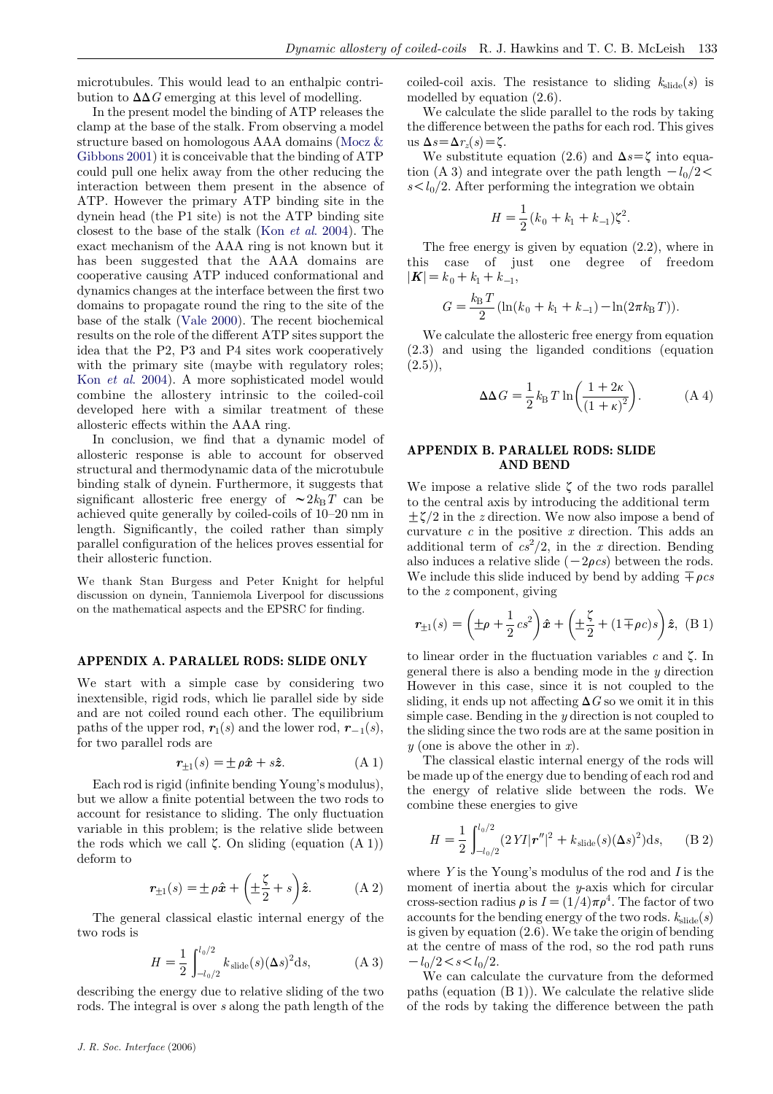microtubules. This would lead to an enthalpic contribution to  $\Delta\Delta G$  emerging at this level of modelling.

In the present model the binding of ATP releases the clamp at the base of the stalk. From observing a model structure based on homologous AAA domains [\(Mocz &](#page-13-0) [Gibbons 2001](#page-13-0)) it is conceivable that the binding of ATP could pull one helix away from the other reducing the interaction between them present in the absence of ATP. However the primary ATP binding site in the dynein head (the P1 site) is not the ATP binding site closest to the base of the stalk (Kon et al[. 2004](#page-13-0)). The exact mechanism of the AAA ring is not known but it has been suggested that the AAA domains are cooperative causing ATP induced conformational and dynamics changes at the interface between the first two domains to propagate round the ring to the site of the base of the stalk [\(Vale 2000\)](#page-13-0). The recent biochemical results on the role of the different ATP sites support the idea that the P2, P3 and P4 sites work cooperatively with the primary site (maybe with regulatory roles; Kon et al[. 2004\)](#page-13-0). A more sophisticated model would combine the allostery intrinsic to the coiled-coil developed here with a similar treatment of these allosteric effects within the AAA ring.

In conclusion, we find that a dynamic model of allosteric response is able to account for observed structural and thermodynamic data of the microtubule binding stalk of dynein. Furthermore, it suggests that significant allosteric free energy of  $\sim 2k_{\rm B}T$  can be achieved quite generally by coiled-coils of 10–20 nm in length. Significantly, the coiled rather than simply parallel configuration of the helices proves essential for their allosteric function.

We thank Stan Burgess and Peter Knight for helpful discussion on dynein, Tanniemola Liverpool for discussions on the mathematical aspects and the EPSRC for finding.

# APPENDIX A. PARALLEL RODS: SLIDE ONLY

We start with a simple case by considering two inextensible, rigid rods, which lie parallel side by side and are not coiled round each other. The equilibrium paths of the upper rod,  $r_1(s)$  and the lower rod,  $r_{-1}(s)$ , for two parallel rods are

$$
\mathbf{r}_{\pm 1}(s) = \pm \rho \hat{\mathbf{x}} + s\hat{\mathbf{z}}.\tag{A 1}
$$

Each rod is rigid (infinite bending Young's modulus), but we allow a finite potential between the two rods to account for resistance to sliding. The only fluctuation variable in this problem; is the relative slide between the rods which we call  $\zeta$ . On sliding (equation  $(A 1)$ ) deform to

$$
\mathbf{r}_{\pm 1}(s) = \pm \rho \hat{\mathbf{x}} + \left(\pm \frac{\zeta}{2} + s\right) \hat{\mathbf{z}}.\tag{A.2}
$$

The general classical elastic internal energy of the two rods is

$$
H = \frac{1}{2} \int_{-l_0/2}^{l_0/2} k_{\text{slide}}(s) (\Delta s)^2 \, \mathrm{d}s,\tag{A.3}
$$

describing the energy due to relative sliding of the two rods. The integral is over s along the path length of the coiled-coil axis. The resistance to sliding  $k_{\text{slide}}(s)$  is modelled by equation (2.6).

We calculate the slide parallel to the rods by taking the difference between the paths for each rod. This gives us  $\Delta s = \Delta r_z(s) = \zeta$ .

We substitute equation (2.6) and  $\Delta s = \zeta$  into equation (A 3) and integrate over the path length  $-l_0/2$ <  $s < l_0/2$ . After performing the integration we obtain

$$
H = \frac{1}{2}(k_0 + k_1 + k_{-1})\zeta^2.
$$

The free energy is given by equation (2.2), where in this case of just one degree of freedom  $|\mathbf{K}|=k_0+k_1+k_{-1}$ 

$$
G = \frac{k_{\rm B} T}{2} (\ln(k_0 + k_1 + k_{-1}) - \ln(2\pi k_{\rm B} T)).
$$

We calculate the allosteric free energy from equation (2.3) and using the liganded conditions (equation  $(2.5)$ ,

$$
\Delta \Delta G = \frac{1}{2} k_{\text{B}} T \ln \left( \frac{1 + 2\kappa}{(1 + \kappa)^2} \right). \tag{A 4}
$$

# APPENDIX B. PARALLEL RODS: SLIDE AND BEND

We impose a relative slide  $\zeta$  of the two rods parallel to the central axis by introducing the additional term  $\pm \zeta/2$  in the z direction. We now also impose a bend of curvature  $c$  in the positive  $x$  direction. This adds an additional term of  $cs^2/2$ , in the x direction. Bending also induces a relative slide  $(-2\rho c s)$  between the rods. We include this slide induced by bend by adding  $\pm \rho c s$ to the z component, giving

$$
\mathbf{r}_{\pm 1}(s) = \left(\pm \rho + \frac{1}{2} c s^2\right) \hat{\mathbf{x}} + \left(\pm \frac{\zeta}{2} + (1 \mp \rho c)s\right) \hat{\mathbf{z}}, \ (B \ 1)
$$

to linear order in the fluctuation variables c and  $\zeta$ . In general there is also a bending mode in the  $y$  direction However in this case, since it is not coupled to the sliding, it ends up not affecting  $\Delta G$  so we omit it in this simple case. Bending in the  $y$  direction is not coupled to the sliding since the two rods are at the same position in  $y$  (one is above the other in  $x$ ).

The classical elastic internal energy of the rods will be made up of the energy due to bending of each rod and the energy of relative slide between the rods. We combine these energies to give

$$
H = \frac{1}{2} \int_{-l_0/2}^{l_0/2} (2\,YI|\mathbf{r''}|^2 + k_{\text{slide}}(s)(\Delta s)^2) \mathrm{d}s,\qquad (B\,2)
$$

where  $Y$  is the Young's modulus of the rod and  $I$  is the moment of inertia about the  $y$ -axis which for circular cross-section radius  $\rho$  is  $I = (1/4)\pi \rho^4$ . The factor of two accounts for the bending energy of the two rods.  $k_{\text{slide}}(s)$ is given by equation (2.6). We take the origin of bending at the centre of mass of the rod, so the rod path runs  $-l_0/2 < s < l_0/2$ .

We can calculate the curvature from the deformed paths (equation (B 1)). We calculate the relative slide of the rods by taking the difference between the path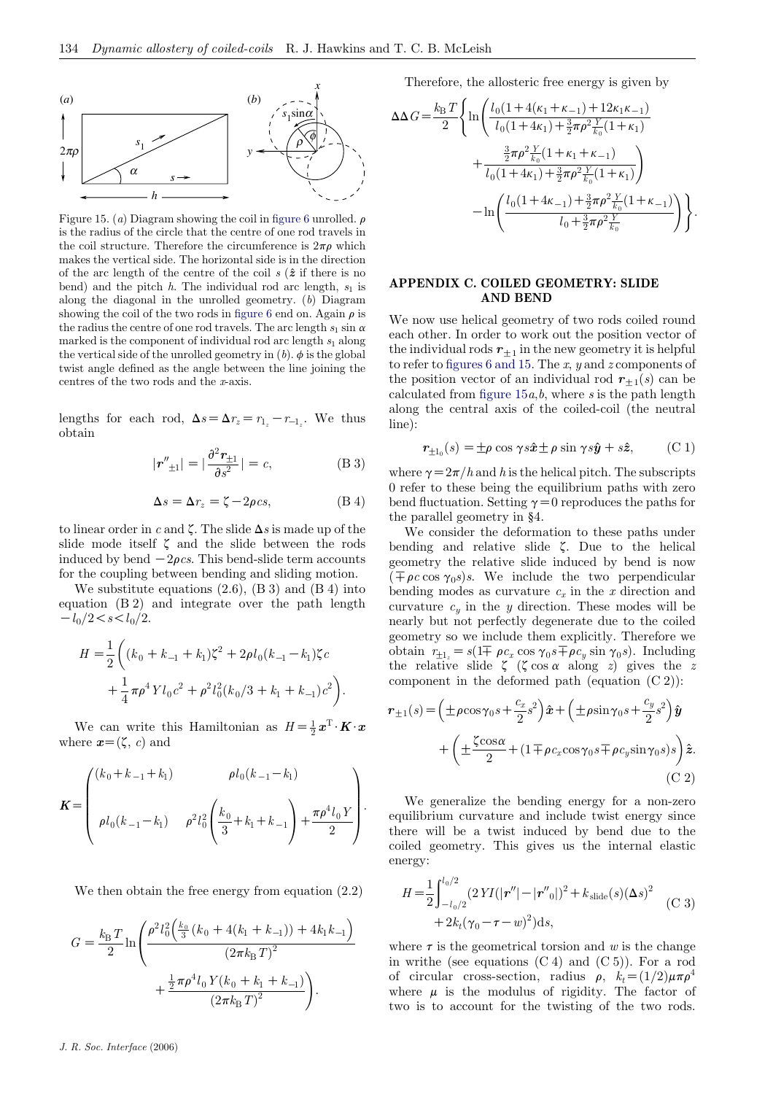

Figure 15. (a) Diagram showing the coil in [figure 6](#page-4-0) unrolled.  $\rho$ is the radius of the circle that the centre of one rod travels in the coil structure. Therefore the circumference is  $2\pi\rho$  which makes the vertical side. The horizontal side is in the direction of the arc length of the centre of the coil  $s(\hat{z}$  if there is no bend) and the pitch h. The individual rod arc length,  $s_1$  is along the diagonal in the unrolled geometry.  $(b)$  Diagram showing the coil of the two rods in [figure 6](#page-4-0) end on. Again  $\rho$  is the radius the centre of one rod travels. The arc length  $s_1 \sin \alpha$ marked is the component of individual rod arc length  $s_1$  along the vertical side of the unrolled geometry in  $(b)$ .  $\phi$  is the global twist angle defined as the angle between the line joining the centres of the two rods and the x-axis.

lengths for each rod,  $\Delta s = \Delta r_z = r_{1z} - r_{-1z}$ . We thus obtain

$$
|\mathbf{r''}_{\pm 1}| = |\frac{\partial^2 \mathbf{r}_{\pm 1}}{\partial s^2}| = c,\tag{B 3}
$$

$$
\Delta s = \Delta r_z = \zeta - 2\rho cs,\tag{B 4}
$$

to linear order in c and  $\zeta$ . The slide  $\Delta s$  is made up of the slide mode itself  $\zeta$  and the slide between the rods induced by bend  $-2\rho cs$ . This bend-slide term accounts for the coupling between bending and sliding motion.

We substitute equations  $(2.6)$ ,  $(B 3)$  and  $(B 4)$  into equation (B 2) and integrate over the path length  $-l_0/2 < s < l_0/2$ .

$$
H = \frac{1}{2} \left( (k_0 + k_{-1} + k_1) \zeta^2 + 2 \rho l_0 (k_{-1} - k_1) \zeta c + \frac{1}{4} \pi \rho^4 Y l_0 c^2 + \rho^2 l_0^2 (k_0 / 3 + k_1 + k_{-1}) c^2 \right).
$$

We can write this Hamiltonian as  $H = \frac{1}{2}x^{T} \cdot K \cdot x$ where  $x=(\zeta, c)$  and

$$
\mathbf{K} = \begin{pmatrix} (k_0 + k_{-1} + k_1) & \rho l_0(k_{-1} - k_1) \\ \rho l_0(k_{-1} - k_1) & \rho^2 l_0^2 \left( \frac{k_0}{3} + k_1 + k_{-1} \right) + \frac{\pi \rho^4 l_0 Y}{2} \end{pmatrix}.
$$

We then obtain the free energy from equation (2.2)

$$
G = \frac{k_{\rm B} T}{2} \ln \left( \frac{\rho^2 l_0^2 \left( \frac{k_0}{3} \left( k_0 + 4(k_1 + k_{-1}) \right) + 4k_1 k_{-1} \right)}{\left( 2\pi k_{\rm B} T \right)^2} + \frac{\frac{1}{2} \pi \rho^4 l_0 Y (k_0 + k_1 + k_{-1})}{\left( 2\pi k_{\rm B} T \right)^2} \right).
$$

Therefore, the allosteric free energy is given by

$$
\begin{split} \Delta\Delta G =&\frac{k_{\rm B}\,T}{2}\Bigg\{\ln\Bigg(\frac{l_0\big(1+4(\kappa_1+\kappa_{-1})+12\kappa_1\kappa_{-1}\big)}{l_0(1+4\kappa_1)+\frac{3}{2}\pi\rho^2\frac{Y}{k_0}(1+\kappa_1)}\\ &+\frac{\frac{3}{2}\pi\rho^2\frac{Y}{k_0}\big(1+\kappa_1+\kappa_{-1}\big)}{l_0(1+4\kappa_1)+\frac{3}{2}\pi\rho^2\frac{Y}{k_0}(1+\kappa_1)}\Bigg)\\ &-\ln\Bigg(\frac{l_0\big(1+4\kappa_{-1}\big)+\frac{3}{2}\pi\rho^2\frac{Y}{k_0}\big(1+\kappa_{-1}\big)}{l_0+\frac{3}{2}\pi\rho^2\frac{Y}{k_0}}\Bigg)\Bigg\}. \end{split}
$$

## APPENDIX C. COILED GEOMETRY: SLIDE AND BEND

We now use helical geometry of two rods coiled round each other. In order to work out the position vector of the individual rods  $r_{+1}$  in the new geometry it is helpful to refer to [figures 6 and 15.](#page-4-0) The  $x$ ,  $y$  and  $z$  components of the position vector of an individual rod  $r_{+1}(s)$  can be calculated from figure  $15a, b$ , where s is the path length along the central axis of the coiled-coil (the neutral line):

$$
\mathbf{r}_{\pm 1_0}(s) = \pm \rho \cos \gamma s \hat{\mathbf{x}} \pm \rho \sin \gamma s \hat{\mathbf{y}} + s \hat{\mathbf{z}}, \qquad \text{(C 1)}
$$

where  $\gamma = 2\pi/h$  and h is the helical pitch. The subscripts 0 refer to these being the equilibrium paths with zero bend fluctuation. Setting  $\gamma=0$  reproduces the paths for the parallel geometry in §4.

We consider the deformation to these paths under bending and relative slide  $\zeta$ . Due to the helical geometry the relative slide induced by bend is now  $(\mp \rho c \cos \gamma_0 s)s$ . We include the two perpendicular bending modes as curvature  $c_x$  in the x direction and curvature  $c_y$  in the y direction. These modes will be nearly but not perfectly degenerate due to the coiled geometry so we include them explicitly. Therefore we obtain  $r_{+1} = s(1 \overline{+} \rho c_x \cos \gamma_0 s \overline{+} \rho c_y \sin \gamma_0 s)$ . Including the relative slide  $\zeta$  ( $\zeta \cos \alpha$  along z) gives the z component in the deformed path (equation (C 2)):

$$
\mathbf{r}_{\pm 1}(s) = \left(\pm \rho \cos \gamma_0 s + \frac{c_x}{2} s^2\right) \hat{\mathbf{x}} + \left(\pm \rho \sin \gamma_0 s + \frac{c_y}{2} s^2\right) \hat{\mathbf{y}} \n+ \left(\pm \frac{\zeta \cos \alpha}{2} + (1 \mp \rho c_x \cos \gamma_0 s \mp \rho c_y \sin \gamma_0 s) s\right) \hat{\mathbf{z}}.
$$
\n(C 2)

We generalize the bending energy for a non-zero equilibrium curvature and include twist energy since there will be a twist induced by bend due to the coiled geometry. This gives us the internal elastic energy:

$$
H = \frac{1}{2} \int_{-l_0/2}^{l_0/2} (2 Y I(|\mathbf{r}''| - |\mathbf{r}''_0|)^2 + k_{\text{slide}}(s) (\Delta s)^2 + 2k_t (\gamma_0 - \tau - w)^2) ds,
$$
 (C 3)

where  $\tau$  is the geometrical torsion and w is the change in writhe (see equations  $(C 4)$  and  $(C 5)$ ). For a rod of circular cross-section, radius  $\rho$ ,  $k_t = (1/2)\mu\pi\rho^4$ where  $\mu$  is the modulus of rigidity. The factor of two is to account for the twisting of the two rods.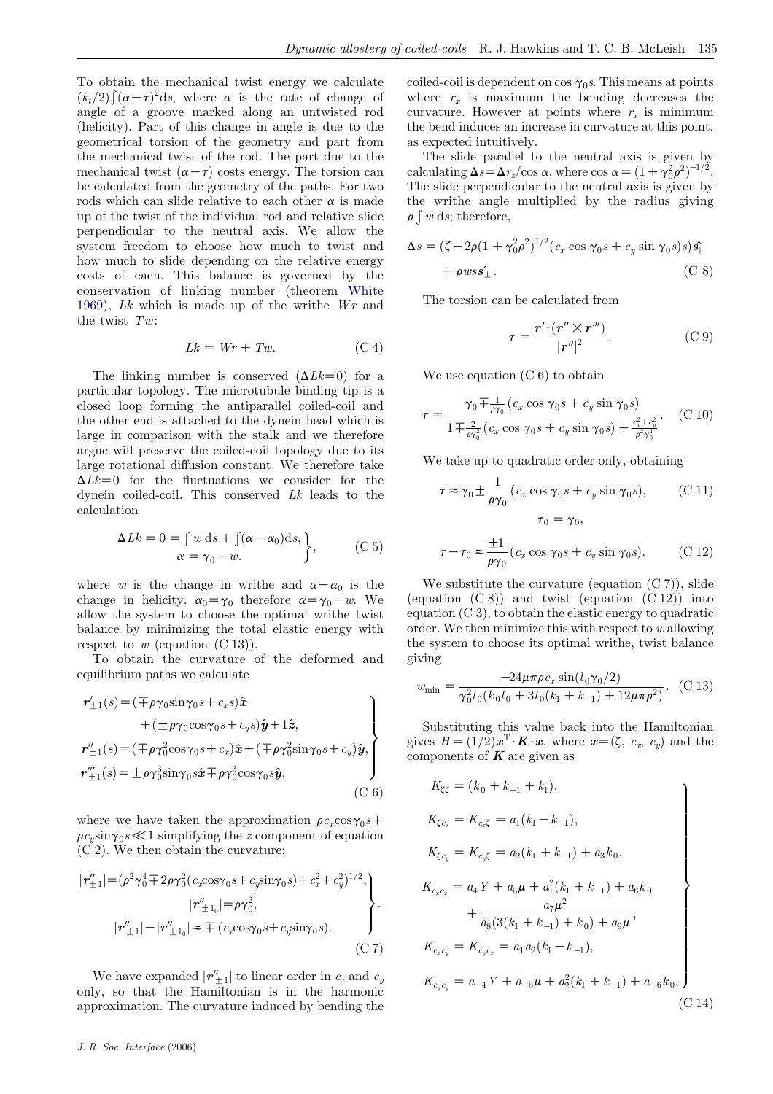To obtain the mechanical twist energy we calculate To solant the including twist energy we calculate angle of a groove marked along an untwisted rod (helicity). Part of this change in angle is due to the geometrical torsion of the geometry and part from the mechanical twist of the rod. The part due to the mechanical twist  $(\alpha - \tau)$  costs energy. The torsion can be calculated from the geometry of the paths. For two rods which can slide relative to each other  $\alpha$  is made up of the twist of the individual rod and relative slide perpendicular to the neutral axis. We allow the system freedom to choose how much to twist and how much to slide depending on the relative energy costs of each. This balance is governed by the conservation of linking number (theorem [White](#page-13-0) [1969](#page-13-0)),  $Lk$  which is made up of the writhe  $Wr$  and the twist  $Tw:$ 

$$
Lk = Wr + Tw.
$$
 (C 4)

The linking number is conserved  $(\Delta Lk=0)$  for a particular topology. The microtubule binding tip is a closed loop forming the antiparallel coiled-coil and the other end is attached to the dynein head which is large in comparison with the stalk and we therefore argue will preserve the coiled-coil topology due to its large rotational diffusion constant. We therefore take  $\Delta Lk=0$  for the fluctuations we consider for the dynein coiled-coil. This conserved Lk leads to the calculation

$$
\Delta Lk = 0 = \int w \, ds + \int (\alpha - \alpha_0) ds, \\ \alpha = \gamma_0 - w.
$$
 (C 5)

where w is the change in writhe and  $\alpha-\alpha_0$  is the change in helicity.  $\alpha_0 = \gamma_0$  therefore  $\alpha = \gamma_0 - w$ . We allow the system to choose the optimal writhe twist balance by minimizing the total elastic energy with respect to  $w$  (equation  $(C 13)$ ).

To obtain the curvature of the deformed and equilibrium paths we calculate

$$
\mathbf{r}'_{\pm 1}(s) = (\mp \rho \gamma_0 \sin \gamma_0 s + c_x s) \hat{\mathbf{x}} \n+ (\pm \rho \gamma_0 \cos \gamma_0 s + c_y s) \hat{\mathbf{y}} + 1 \hat{\mathbf{z}}, \n\mathbf{r}''_{\pm 1}(s) = (\mp \rho \gamma_0^2 \cos \gamma_0 s + c_x) \hat{\mathbf{x}} + (\mp \rho \gamma_0^2 \sin \gamma_0 s + c_y) \hat{\mathbf{y}}, \n\mathbf{r}'''_{\pm 1}(s) = \pm \rho \gamma_0^3 \sin \gamma_0 s \hat{\mathbf{x}} + \rho \gamma_0^3 \cos \gamma_0 s \hat{\mathbf{y}},
$$
\n(C 6)

where we have taken the approximation  $\rho c_r \cos \gamma_0 s$ +  $\rho c_v \sin \gamma_0 s \ll 1$  simplifying the z component of equation  $(C<sub>2</sub>)$ . We then obtain the curvature:

$$
|\mathbf{r}_{\pm 1}^{"}| = (\rho^2 \gamma_0^4 \mp 2\rho \gamma_0^2 (c_x \cos \gamma_0 s + c_y \sin \gamma_0 s) + c_x^2 + c_y^2)^{1/2},
$$
\n
$$
|\mathbf{r}_{\pm 1_0}^{"}| = \rho \gamma_0^2,
$$
\n
$$
|\mathbf{r}_{\pm 1}^{"}| - |\mathbf{r}_{\pm 1_0}^{"}| \approx \mp (c_x \cos \gamma_0 s + c_y \sin \gamma_0 s).
$$
\n(C 7)

We have expanded  $|\mathbf{r}''_{\pm 1}|$  to linear order in  $c_x$  and  $c_y$ only, so that the Hamiltonian is in the harmonic approximation. The curvature induced by bending the coiled-coil is dependent on cos  $\gamma_0$ s. This means at points where  $r<sub>x</sub>$  is maximum the bending decreases the curvature. However at points where  $r<sub>x</sub>$  is minimum the bend induces an increase in curvature at this point, as expected intuitively.

The slide parallel to the neutral axis is given by calculating  $\Delta s = \Delta r_z / \cos \alpha$ , where  $\cos \alpha = (1 + \gamma_0^2 \rho^2)^{-1/2}$ . The slide perpendicular to the neutral axis is given by the writhe angle multiplied by the radius giving  $\rho \int w \, ds$ ; therefore,

$$
\Delta s = (\zeta - 2\rho (1 + \gamma_0^2 \rho^2)^{1/2} (c_x \cos \gamma_0 s + c_y \sin \gamma_0 s) s) \hat{s}_{\parallel}
$$
  
+  $\rho w s \hat{s}_{\perp}$ . (C 8)

The torsion can be calculated from

$$
\tau = \frac{\boldsymbol{r}' \cdot (\boldsymbol{r}'' \times \boldsymbol{r}''')}{|\boldsymbol{r}''|^2}.
$$
 (C 9)

We use equation  $(C 6)$  to obtain

$$
\tau = \frac{\gamma_0 \pm \frac{1}{\rho \gamma_0} (c_x \cos \gamma_0 s + c_y \sin \gamma_0 s)}{1 \pm \frac{2}{\rho \gamma_0^2} (c_x \cos \gamma_0 s + c_y \sin \gamma_0 s) + \frac{c_x^2 + c_y^2}{\rho^2 \gamma_0^4}}.
$$
 (C 10)

We take up to quadratic order only, obtaining

$$
\tau \approx \gamma_0 \pm \frac{1}{\rho \gamma_0} (c_x \cos \gamma_0 s + c_y \sin \gamma_0 s), \qquad (C 11)
$$

$$
\tau_0 = \gamma_0,
$$

$$
\tau - \tau_0 \approx \frac{\pm 1}{\rho \gamma_0} (c_x \cos \gamma_0 s + c_y \sin \gamma_0 s). \tag{C 12}
$$

We substitute the curvature (equation  $(C 7)$ ), slide (equation  $(C 8)$ ) and twist (equation  $(C 12)$ ) into equation (C 3), to obtain the elastic energy to quadratic order. We then minimize this with respect to w allowing the system to choose its optimal writhe, twist balance giving

$$
w_{\min} = \frac{-24\mu\pi\rho c_x \sin(l_0 \gamma_0/2)}{\gamma_0^2 l_0 (k_0 l_0 + 3l_0 (k_1 + k_{-1}) + 12\mu\pi\rho^2)}.
$$
 (C 13)

Substituting this value back into the Hamiltonian gives  $H = (1/2)\boldsymbol{x}^T \boldsymbol{\cdot} \boldsymbol{K} \boldsymbol{\cdot} \boldsymbol{x}$ , where  $\boldsymbol{x} = (\zeta, c_x, c_y)$  and the components of  $K$  are given as

$$
K_{\zeta\zeta} = (k_0 + k_{-1} + k_1),
$$
  
\n
$$
K_{\zeta c_x} = K_{c_x\zeta} = a_1(k_1 - k_{-1}),
$$
  
\n
$$
K_{\zeta c_y} = K_{c_y\zeta} = a_2(k_1 + k_{-1}) + a_3k_0,
$$
  
\n
$$
K_{c_xc_x} = a_4Y + a_5\mu + a_1^2(k_1 + k_{-1}) + a_6k_0
$$
  
\n
$$
+ \frac{a_7\mu^2}{a_8(3(k_1 + k_{-1}) + k_0) + a_9\mu},
$$
  
\n
$$
K_{c_xc_y} = K_{c_yc_x} = a_1a_2(k_1 - k_{-1}),
$$
  
\n
$$
K_{c_yc_y} = a_{-4}Y + a_{-5}\mu + a_2^2(k_1 + k_{-1}) + a_{-6}k_0,
$$
  
\n(C 14)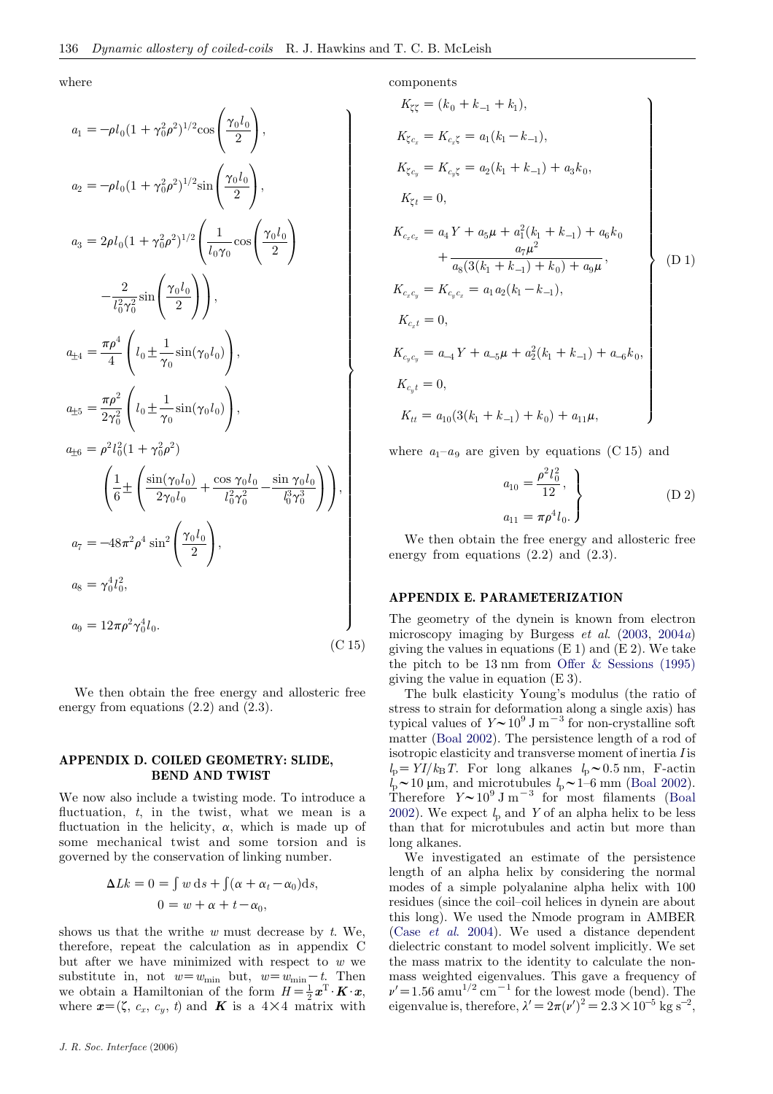where

$$
a_1 = -\rho l_0 (1 + \gamma_0^2 \rho^2)^{1/2} \cos\left(\frac{\gamma_0 l_0}{2}\right),
$$
  
\n
$$
a_2 = -\rho l_0 (1 + \gamma_0^2 \rho^2)^{1/2} \sin\left(\frac{\gamma_0 l_0}{2}\right),
$$
  
\n
$$
a_3 = 2\rho l_0 (1 + \gamma_0^2 \rho^2)^{1/2} \left(\frac{1}{l_0 \gamma_0} \cos\left(\frac{\gamma_0 l_0}{2}\right)\right)
$$
  
\n
$$
- \frac{2}{l_0^2 \gamma_0^2} \sin\left(\frac{\gamma_0 l_0}{2}\right),
$$
  
\n
$$
a_{\pm 4} = \frac{\pi \rho^4}{4} \left(l_0 \pm \frac{1}{\gamma_0} \sin(\gamma_0 l_0)\right),
$$
  
\n
$$
a_{\pm 5} = \frac{\pi \rho^2}{2\gamma_0^2} \left(l_0 \pm \frac{1}{\gamma_0} \sin(\gamma_0 l_0)\right),
$$
  
\n
$$
a_{\pm 6} = \rho^2 l_0^2 (1 + \gamma_0^2 \rho^2)
$$
  
\n
$$
\left(\frac{1}{6} \pm \left(\frac{\sin(\gamma_0 l_0)}{2\gamma_0 l_0} + \frac{\cos \gamma_0 l_0}{l_0^2 \gamma_0^2} - \frac{\sin \gamma_0 l_0}{l_0^3 \gamma_0^3}\right)\right),
$$
  
\n
$$
a_7 = -48\pi^2 \rho^4 \sin^2\left(\frac{\gamma_0 l_0}{2}\right),
$$
  
\n
$$
a_8 = \gamma_0^4 l_0^2,
$$
  
\n
$$
a_9 = 12\pi \rho^2 \gamma_0^4 l_0.
$$
  
\n(C 15)

We then obtain the free energy and allosteric free energy from equations  $(2.2)$  and  $(2.3)$ .

## APPENDIX D. COILED GEOMETRY: SLIDE, BEND AND TWIST

We now also include a twisting mode. To introduce a fluctuation,  $t$ , in the twist, what we mean is a fluctuation in the helicity,  $\alpha$ , which is made up of some mechanical twist and some torsion and is governed by the conservation of linking number.

$$
\Delta Lk = 0 = \int w \, ds + \int (\alpha + \alpha_t - \alpha_0) ds,
$$
  

$$
0 = w + \alpha + t - \alpha_0,
$$

shows us that the writhe  $w$  must decrease by  $t$ . We, therefore, repeat the calculation as in appendix C but after we have minimized with respect to  $w$  we substitute in, not  $w=w_{\min}$  but,  $w=w_{\min}-t$ . Then we obtain a Hamiltonian of the form  $H = \frac{1}{2}x^{\mathrm{T}} \cdot K \cdot x$ , where  $\mathbf{x} = (\zeta, c_x, c_y, t)$  and  $\boldsymbol{K}$  is a 4×4 matrix with components

$$
K_{\zeta\zeta} = (k_0 + k_{-1} + k_1),
$$
  
\n
$$
K_{\zeta c_x} = K_{c_x\zeta} = a_1(k_1 - k_{-1}),
$$
  
\n
$$
K_{\zeta c_y} = K_{c_y\zeta} = a_2(k_1 + k_{-1}) + a_3k_0,
$$
  
\n
$$
K_{\zeta t} = 0,
$$
  
\n
$$
K_{c_x c_x} = a_4 Y + a_5 \mu + a_1^2(k_1 + k_{-1}) + a_6k_0 + \frac{a_7\mu^2}{a_8(3(k_1 + k_{-1}) + k_0) + a_9\mu},
$$
  
\n
$$
K_{c_x c_y} = K_{c_y c_x} = a_1 a_2(k_1 - k_{-1}),
$$
  
\n
$$
K_{c_x t} = 0,
$$
  
\n
$$
K_{c_y c_y} = a_{-4} Y + a_{-5} \mu + a_2^2(k_1 + k_{-1}) + a_{-6}k_0,
$$
  
\n
$$
K_{c_y t} = 0,
$$
  
\n
$$
K_{tt} = a_{10}(3(k_1 + k_{-1}) + k_0) + a_{11}\mu,
$$

where  $a_1-a_9$  are given by equations (C 15) and

$$
a_{10} = \frac{\rho^2 l_0^2}{12},
$$
  
\n
$$
a_{11} = \pi \rho^4 l_0.
$$
 (D 2)

We then obtain the free energy and allosteric free energy from equations (2.2) and (2.3).

### APPENDIX E. PARAMETERIZATION

The geometry of the dynein is known from electron microscopy imaging by Burgess *et al.*  $(2003, 2004a)$  $(2003, 2004a)$  $(2003, 2004a)$  $(2003, 2004a)$  $(2003, 2004a)$ giving the values in equations  $(E 1)$  and  $(E 2)$ . We take the pitch to be  $13 \text{ nm}$  from [Offer & Sessions \(1995\)](#page-13-0) giving the value in equation (E 3).

The bulk elasticity Young's modulus (the ratio of stress to strain for deformation along a single axis) has typical values of  $Y \sim 10^9 \text{ J m}^{-3}$  for non-crystalline soft matter ([Boal 2002\)](#page-12-0). The persistence length of a rod of isotropic elasticity and transverse moment of inertia I is  $l_p = \frac{YI}{k_B T}$ . For long alkanes  $l_p \sim 0.5$  nm, F-actin  $l_p \sim 10 \mu m$ , and microtubules  $l_p \sim 1$ –6 mm ([Boal 2002\)](#page-12-0). Therefore  $Y \sim 10^9 \text{ J m}^{-3}$  for most filaments [\(Boal](#page-12-0) [2002](#page-12-0)). We expect  $l_{\rm p}$  and Y of an alpha helix to be less than that for microtubules and actin but more than long alkanes.

We investigated an estimate of the persistence length of an alpha helix by considering the normal modes of a simple polyalanine alpha helix with 100 residues (since the coil–coil helices in dynein are about this long). We used the Nmode program in AMBER (Case et al[. 2004\)](#page-12-0). We used a distance dependent dielectric constant to model solvent implicitly. We set the mass matrix to the identity to calculate the nonmass weighted eigenvalues. This gave a frequency of  $\nu' = 1.56$  amu<sup>1/2</sup> cm<sup>-1</sup> for the lowest mode (bend). The eigenvalue is, therefore,  $\lambda' = 2\pi(v')^2 = 2.3 \times 10^{-5}$  kg s<sup>-2</sup>,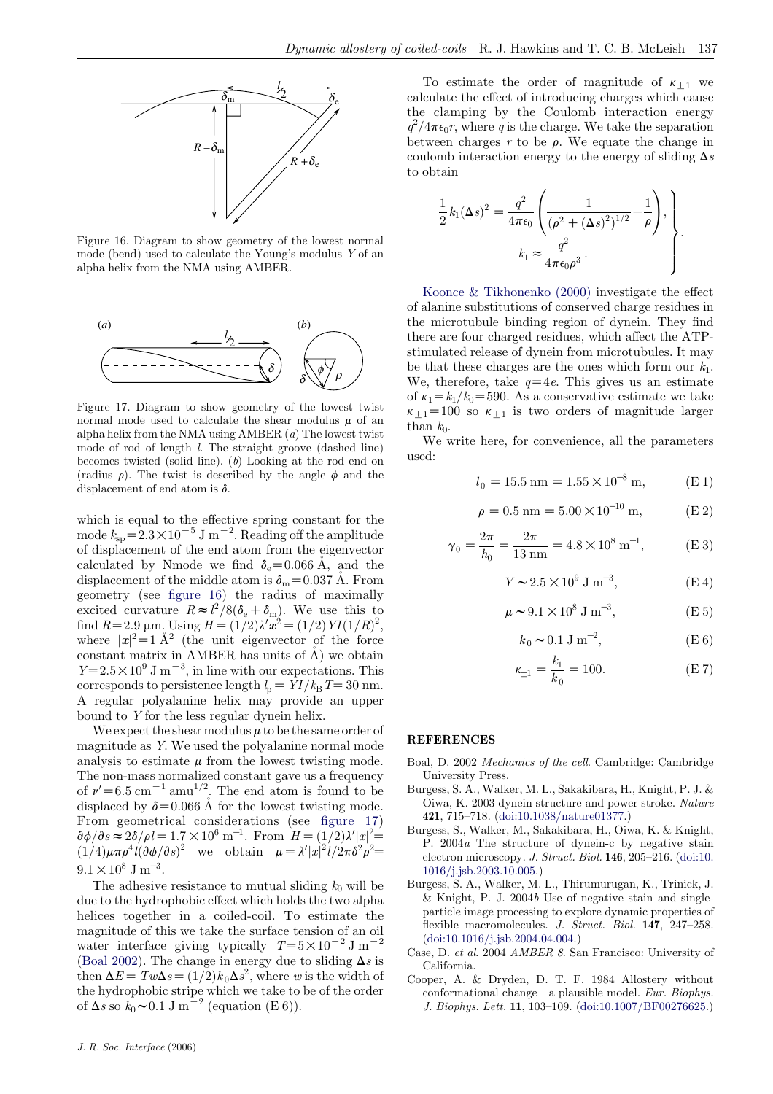<span id="page-12-0"></span>

Figure 16. Diagram to show geometry of the lowest normal mode (bend) used to calculate the Young's modulus Y of an alpha helix from the NMA using AMBER.



Figure 17. Diagram to show geometry of the lowest twist normal mode used to calculate the shear modulus  $\mu$  of an alpha helix from the NMA using AMBER (a) The lowest twist mode of rod of length l. The straight groove (dashed line) becomes twisted (solid line). (b) Looking at the rod end on (radius  $\rho$ ). The twist is described by the angle  $\phi$  and the displacement of end atom is  $\delta$ .

which is equal to the effective spring constant for the mode  $k_{\rm sp} = 2.3 \times 10^{-5}$  J m<sup>-2</sup>. Reading off the amplitude of displacement of the end atom from the eigenvector calculated by Nmode we find  $\delta_e = 0.066 \text{ Å}$ , and the displacement of the middle atom is  $\delta_{\rm m}=0.037$  Å. From geometry (see figure 16) the radius of maximally excited curvature  $R \approx l^2/8(\delta_e + \delta_m)$ . We use this to find  $R=2.9 \text{ }\mu\text{m}$ . Using  $H = (1/2)\lambda'\vec{x}^2 = (1/2) \text{ } YI(1/R)^2$ , where  $|x|^2 = 1 \text{ Å}^2$  (the unit eigenvector of the force constant matrix in AMBER has units of  $\AA$ ) we obtain  $Y = 2.5 \times 10^9$  J m<sup>-3</sup>, in line with our expectations. This corresponds to persistence length  $l_p = YI / k_B T = 30$  nm. A regular polyalanine helix may provide an upper bound to Y for the less regular dynein helix.

We expect the shear modulus  $\mu$  to be the same order of magnitude as Y. We used the polyalanine normal mode analysis to estimate  $\mu$  from the lowest twisting mode. The non-mass normalized constant gave us a frequency of  $\nu' = 6.5 \text{ cm}^{-1} \text{ amu}^{1/2}$ . The end atom is found to be displaced by  $\delta$ =0.066 Å for the lowest twisting mode. From geometrical considerations (see figure 17)  $\partial \phi / \partial s \approx 2\delta / \rho l = 1.7 \times 10^6 \text{ m}^{-1}$ . From  $H = (1/2)\lambda' |x|^2 =$  $(1/4)\mu\pi\rho^4l(\partial\phi/\partial s)^2$  we obtain  $\mu=\lambda'|x|^2l/2\pi\delta^2\rho^2=$  $9.1 \times 10^8$  J m<sup>-3</sup>.

The adhesive resistance to mutual sliding  $k_0$  will be due to the hydrophobic effect which holds the two alpha helices together in a coiled-coil. To estimate the magnitude of this we take the surface tension of an oil water interface giving typically  $T=5\times10^{-2}$  J m<sup>-2</sup> (Boal 2002). The change in energy due to sliding  $\Delta s$  is then  $\Delta E = T w \Delta s = (1/2) k_0 \Delta s^2$ , where w is the width of the hydrophobic stripe which we take to be of the order of  $\Delta s$  so  $k_0 \sim 0.1$  J m<sup>-2</sup> (equation (E 6)).

To estimate the order of magnitude of  $\kappa_{+1}$  we calculate the effect of introducing charges which cause the clamping by the Coulomb interaction energy  $q^2/4\pi\epsilon_0 r$ , where q is the charge. We take the separation between charges  $r$  to be  $\rho$ . We equate the change in coulomb interaction energy to the energy of sliding  $\Delta s$ to obtain

$$
\frac{1}{2}k_1(\Delta s)^2 = \frac{q^2}{4\pi\epsilon_0} \left( \frac{1}{(\rho^2 + (\Delta s)^2)^{1/2}} - \frac{1}{\rho} \right),
$$
  

$$
k_1 \approx \frac{q^2}{4\pi\epsilon_0 \rho^3}.
$$

[Koonce & Tikhonenko \(2000\)](#page-13-0) investigate the effect of alanine substitutions of conserved charge residues in the microtubule binding region of dynein. They find there are four charged residues, which affect the ATPstimulated release of dynein from microtubules. It may be that these charges are the ones which form our  $k_1$ . We, therefore, take  $q=4e$ . This gives us an estimate of  $\kappa_1 = k_1/k_0 = 590$ . As a conservative estimate we take  $\kappa_{\pm 1}$ =100 so  $\kappa_{\pm 1}$  is two orders of magnitude larger than  $k_0$ .

We write here, for convenience, all the parameters used:

 $2\pi$ 

$$
l_0 = 15.5 \text{ nm} = 1.55 \times 10^{-8} \text{ m}, \qquad \text{(E 1)}
$$

$$
\rho = 0.5 \text{ nm} = 5.00 \times 10^{-10} \text{ m}, \qquad (E \ 2)
$$

$$
\gamma_0 = \frac{2\pi}{h_0} = \frac{2\pi}{13 \text{ nm}} = 4.8 \times 10^8 \text{ m}^{-1}, \qquad \text{(E 3)}
$$

$$
Y \sim 2.5 \times 10^9 \text{ J m}^{-3}, \tag{E4}
$$

$$
\mu \sim 9.1 \times 10^8 \text{ J m}^{-3}, \tag{E 5}
$$

$$
k_0 \sim 0.1 \, \text{J m}^{-2}, \tag{E 6}
$$

$$
\kappa_{\pm 1} = \frac{k_1}{k_0} = 100. \tag{E 7}
$$

#### **REFERENCES**

- Boal, D. 2002 Mechanics of the cell. Cambridge: Cambridge University Press.
- Burgess, S. A., Walker, M. L., Sakakibara, H., Knight, P. J. & Oiwa, K. 2003 dynein structure and power stroke. Nature 421, 715–718. ([doi:10.1038/nature01377.\)](http://dx.doi.org/doi:10.1038/nature01377)
- Burgess, S., Walker, M., Sakakibara, H., Oiwa, K. & Knight, P. 2004a The structure of dynein-c by negative stain electron microscopy. J. Struct. Biol. 146, 205–216. ([doi:10.](http://dx.doi.org/doi:10.1016/j.jsb.2003.10.005) [1016/j.jsb.2003.10.005.\)](http://dx.doi.org/doi:10.1016/j.jsb.2003.10.005)
- Burgess, S. A., Walker, M. L., Thirumurugan, K., Trinick, J. & Knight, P. J. 2004b Use of negative stain and singleparticle image processing to explore dynamic properties of flexible macromolecules. J. Struct. Biol. 147, 247-258. ([doi:10.1016/j.jsb.2004.04.004.\)](http://dx.doi.org/doi:10.1016/j.jsb.2004.04.004)
- Case, D. et al. 2004 AMBER 8. San Francisco: University of California.
- Cooper, A. & Dryden, D. T. F. 1984 Allostery without conformational change—a plausible model. Eur. Biophys. J. Biophys. Lett. 11, 103–109. ([doi:10.1007/BF00276625.\)](http://dx.doi.org/doi:10.1007/BF00276625)